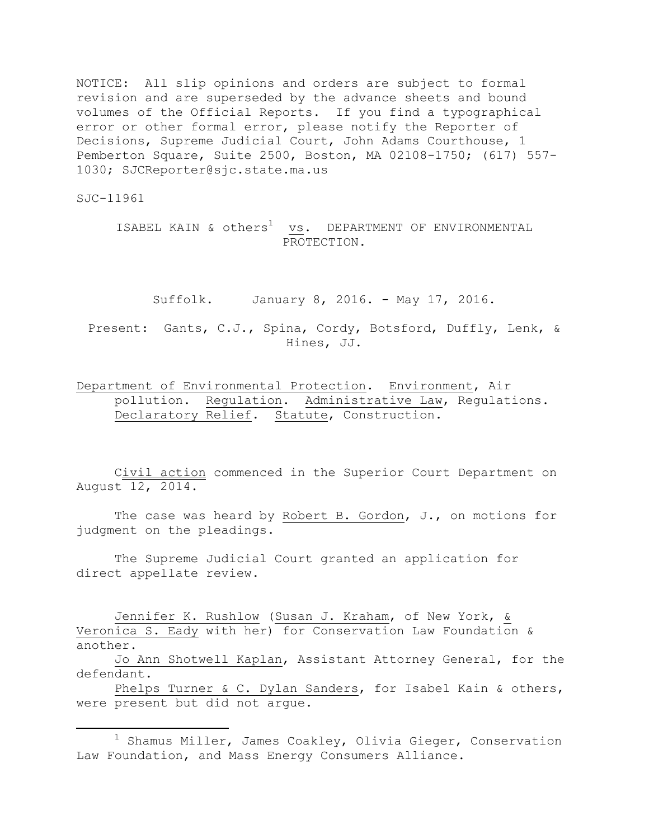NOTICE: All slip opinions and orders are subject to formal revision and are superseded by the advance sheets and bound volumes of the Official Reports. If you find a typographical error or other formal error, please notify the Reporter of Decisions, Supreme Judicial Court, John Adams Courthouse, 1 Pemberton Square, Suite 2500, Boston, MA 02108-1750; (617) 557- 1030; SJCReporter@sjc.state.ma.us

SJC-11961

 $\overline{\phantom{a}}$ 

ISABEL KAIN & others<sup>1</sup> vs. DEPARTMENT OF ENVIRONMENTAL PROTECTION.

Suffolk. January 8, 2016. - May 17, 2016.

Present: Gants, C.J., Spina, Cordy, Botsford, Duffly, Lenk, & Hines, JJ.

## Department of Environmental Protection. Environment, Air pollution. Regulation. Administrative Law, Regulations. Declaratory Relief. Statute, Construction.

Civil action commenced in the Superior Court Department on August 12, 2014.

The case was heard by Robert B. Gordon, J., on motions for judgment on the pleadings.

The Supreme Judicial Court granted an application for direct appellate review.

Jennifer K. Rushlow (Susan J. Kraham, of New York, & Veronica S. Eady with her) for Conservation Law Foundation & another.

Jo Ann Shotwell Kaplan, Assistant Attorney General, for the defendant.

Phelps Turner & C. Dylan Sanders, for Isabel Kain & others, were present but did not argue.

 $1$  Shamus Miller, James Coakley, Olivia Gieger, Conservation Law Foundation, and Mass Energy Consumers Alliance.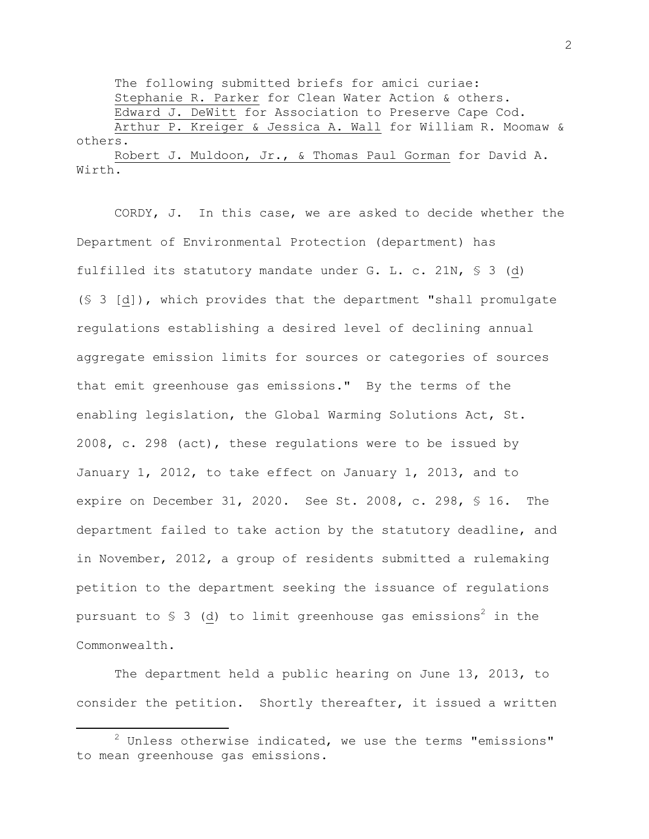The following submitted briefs for amici curiae: Stephanie R. Parker for Clean Water Action & others. Edward J. DeWitt for Association to Preserve Cape Cod. Arthur P. Kreiger & Jessica A. Wall for William R. Moomaw & others. Robert J. Muldoon, Jr., & Thomas Paul Gorman for David A. Wirth.

CORDY, J. In this case, we are asked to decide whether the Department of Environmental Protection (department) has fulfilled its statutory mandate under G. L. c. 21N, § 3 (d) (§ 3 [d]), which provides that the department "shall promulgate regulations establishing a desired level of declining annual aggregate emission limits for sources or categories of sources that emit greenhouse gas emissions." By the terms of the enabling legislation, the Global Warming Solutions Act, St. 2008, c. 298 (act), these regulations were to be issued by January 1, 2012, to take effect on January 1, 2013, and to expire on December 31, 2020. See St. 2008, c. 298, § 16. The department failed to take action by the statutory deadline, and in November, 2012, a group of residents submitted a rulemaking petition to the department seeking the issuance of regulations pursuant to  $\S$  3 (d) to limit greenhouse gas emissions<sup>2</sup> in the Commonwealth.

The department held a public hearing on June 13, 2013, to consider the petition. Shortly thereafter, it issued a written

 $2$  Unless otherwise indicated, we use the terms "emissions" to mean greenhouse gas emissions.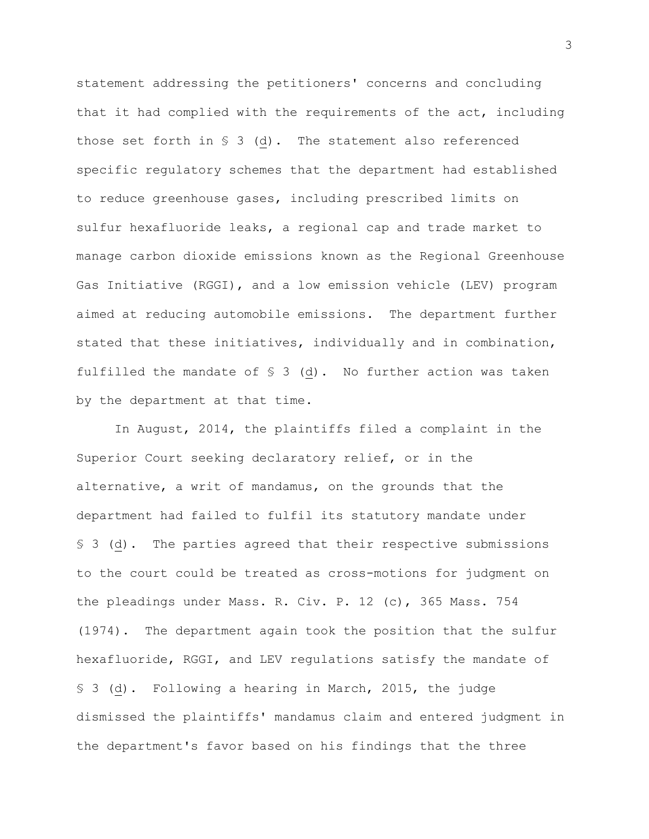statement addressing the petitioners' concerns and concluding that it had complied with the requirements of the act, including those set forth in  $S$  3 (d). The statement also referenced specific regulatory schemes that the department had established to reduce greenhouse gases, including prescribed limits on sulfur hexafluoride leaks, a regional cap and trade market to manage carbon dioxide emissions known as the Regional Greenhouse Gas Initiative (RGGI), and a low emission vehicle (LEV) program aimed at reducing automobile emissions. The department further stated that these initiatives, individually and in combination, fulfilled the mandate of  $\S$  3 (d). No further action was taken by the department at that time.

In August, 2014, the plaintiffs filed a complaint in the Superior Court seeking declaratory relief, or in the alternative, a writ of mandamus, on the grounds that the department had failed to fulfil its statutory mandate under § 3 (d).The parties agreed that their respective submissions to the court could be treated as cross-motions for judgment on the pleadings under Mass. R. Civ. P. 12 (c), 365 Mass. 754 (1974). The department again took the position that the sulfur hexafluoride, RGGI, and LEV regulations satisfy the mandate of § 3 (d). Following a hearing in March, 2015, the judge dismissed the plaintiffs' mandamus claim and entered judgment in the department's favor based on his findings that the three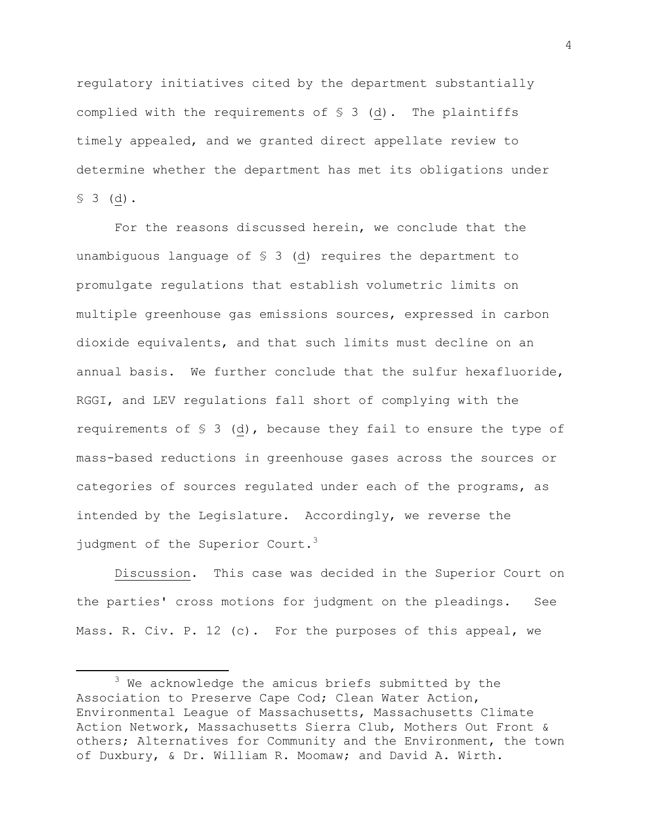regulatory initiatives cited by the department substantially complied with the requirements of  $\S$  3 (d). The plaintiffs timely appealed, and we granted direct appellate review to determine whether the department has met its obligations under  $$3$  (d).

For the reasons discussed herein, we conclude that the unambiguous language of § 3 (d) requires the department to promulgate regulations that establish volumetric limits on multiple greenhouse gas emissions sources, expressed in carbon dioxide equivalents, and that such limits must decline on an annual basis. We further conclude that the sulfur hexafluoride, RGGI, and LEV regulations fall short of complying with the requirements of  $\S$  3 (d), because they fail to ensure the type of mass-based reductions in greenhouse gases across the sources or categories of sources regulated under each of the programs, as intended by the Legislature. Accordingly, we reverse the judgment of the Superior Court. $3$ 

Discussion. This case was decided in the Superior Court on the parties' cross motions for judgment on the pleadings. See Mass. R. Civ. P. 12 (c). For the purposes of this appeal, we

<sup>3</sup> We acknowledge the amicus briefs submitted by the Association to Preserve Cape Cod; Clean Water Action, Environmental League of Massachusetts, Massachusetts Climate Action Network, Massachusetts Sierra Club, Mothers Out Front & others; Alternatives for Community and the Environment, the town of Duxbury, & Dr. William R. Moomaw; and David A. Wirth.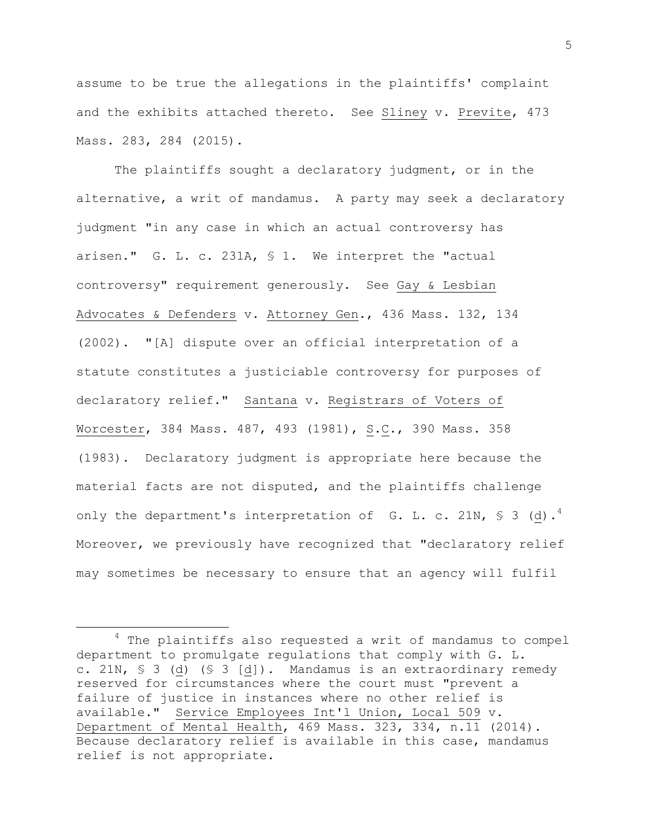assume to be true the allegations in the plaintiffs' complaint and the exhibits attached thereto. See Sliney v. Previte, 473 Mass. 283, 284 (2015).

The plaintiffs sought a declaratory judgment, or in the alternative, a writ of mandamus. A party may seek a declaratory judgment "in any case in which an actual controversy has arisen." G. L. c. 231A, § 1. We interpret the "actual controversy" requirement generously. See Gay & Lesbian Advocates & Defenders v. Attorney Gen., 436 Mass. 132, 134 (2002). "[A] dispute over an official interpretation of a statute constitutes a justiciable controversy for purposes of declaratory relief." Santana v. Registrars of Voters of Worcester, 384 Mass. 487, 493 (1981), S.C., 390 Mass. 358 (1983). Declaratory judgment is appropriate here because the material facts are not disputed, and the plaintiffs challenge only the department's interpretation of  $G.$  L. c. 21N, § 3 (d). $^{4}$ Moreover, we previously have recognized that "declaratory relief may sometimes be necessary to ensure that an agency will fulfil

 $\overline{a}$ 

<sup>&</sup>lt;sup>4</sup> The plaintiffs also requested a writ of mandamus to compel department to promulgate regulations that comply with G. L. c. 21N, § 3 (d) (§ 3 [d]). Mandamus is an extraordinary remedy reserved for circumstances where the court must "prevent a failure of justice in instances where no other relief is available." Service Employees Int'l Union, Local 509 v. Department of Mental Health, 469 Mass. 323, 334, n.11 (2014). Because declaratory relief is available in this case, mandamus relief is not appropriate.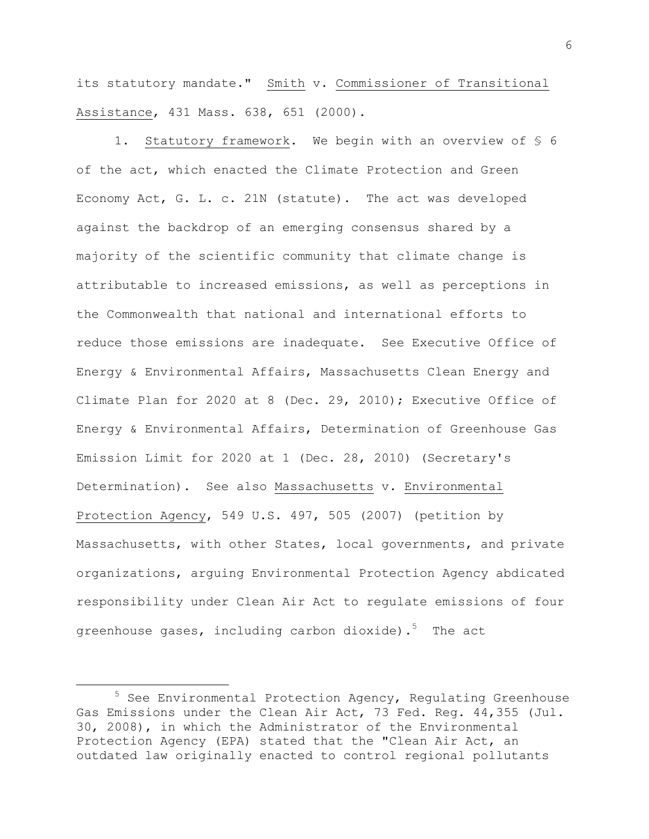its statutory mandate." Smith v. Commissioner of Transitional Assistance, 431 Mass. 638, 651 (2000).

1. Statutory framework. We begin with an overview of § 6 of the act, which enacted the Climate Protection and Green Economy Act, G. L. c. 21N (statute). The act was developed against the backdrop of an emerging consensus shared by a majority of the scientific community that climate change is attributable to increased emissions, as well as perceptions in the Commonwealth that national and international efforts to reduce those emissions are inadequate. See Executive Office of Energy & Environmental Affairs, Massachusetts Clean Energy and Climate Plan for 2020 at 8 (Dec. 29, 2010); Executive Office of Energy & Environmental Affairs, Determination of Greenhouse Gas Emission Limit for 2020 at 1 (Dec. 28, 2010) (Secretary's Determination). See also Massachusetts v. Environmental Protection Agency, 549 U.S. 497, 505 (2007) (petition by Massachusetts, with other States, local governments, and private organizations, arguing Environmental Protection Agency abdicated responsibility under Clean Air Act to regulate emissions of four greenhouse gases, including carbon dioxide). $^5$  The act

 $\overline{a}$ 

 $5$  See Environmental Protection Agency, Regulating Greenhouse Gas Emissions under the Clean Air Act, 73 Fed. Reg. 44,355 (Jul. 30, 2008), in which the Administrator of the Environmental Protection Agency (EPA) stated that the "Clean Air Act, an outdated law originally enacted to control regional pollutants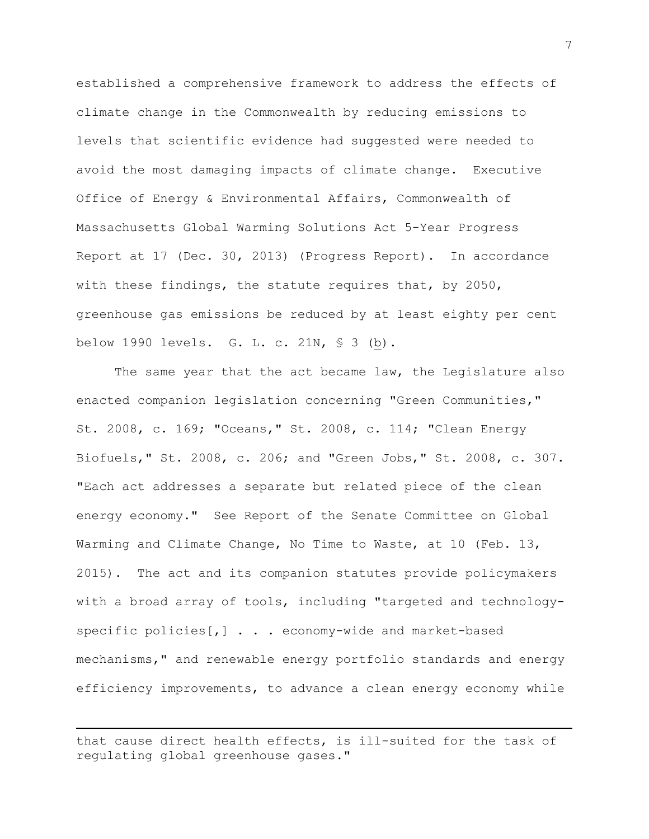established a comprehensive framework to address the effects of climate change in the Commonwealth by reducing emissions to levels that scientific evidence had suggested were needed to avoid the most damaging impacts of climate change. Executive Office of Energy & Environmental Affairs, Commonwealth of Massachusetts Global Warming Solutions Act 5-Year Progress Report at 17 (Dec. 30, 2013) (Progress Report). In accordance with these findings, the statute requires that, by 2050, greenhouse gas emissions be reduced by at least eighty per cent below 1990 levels. G. L. c. 21N, § 3 (b).

The same year that the act became law, the Legislature also enacted companion legislation concerning "Green Communities," St. 2008, c. 169; "Oceans," St. 2008, c. 114; "Clean Energy Biofuels," St. 2008, c. 206; and "Green Jobs," St. 2008, c. 307. "Each act addresses a separate but related piece of the clean energy economy." See Report of the Senate Committee on Global Warming and Climate Change, No Time to Waste, at 10 (Feb. 13, 2015). The act and its companion statutes provide policymakers with a broad array of tools, including "targeted and technologyspecific policies[,] . . . economy-wide and market-based mechanisms," and renewable energy portfolio standards and energy efficiency improvements, to advance a clean energy economy while

that cause direct health effects, is ill-suited for the task of regulating global greenhouse gases."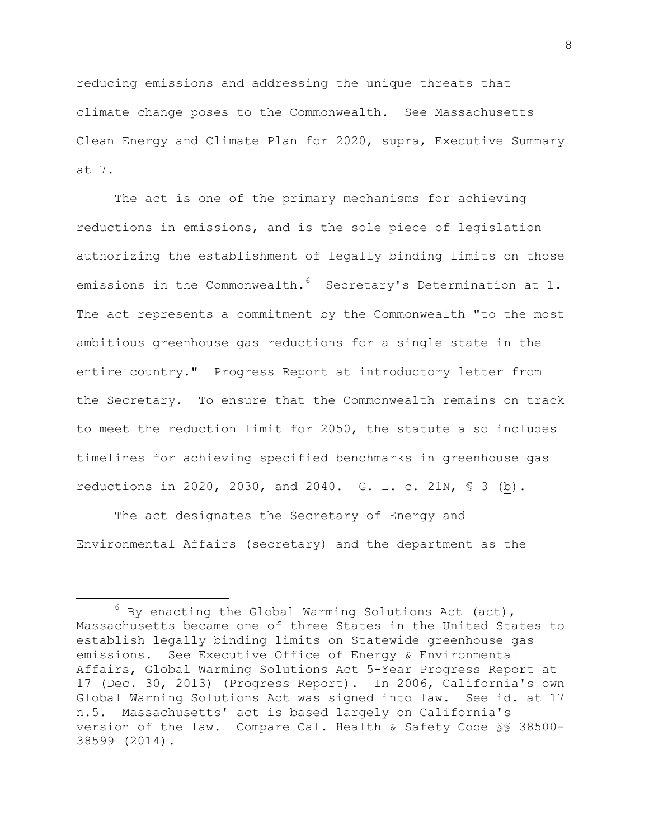reducing emissions and addressing the unique threats that climate change poses to the Commonwealth. See Massachusetts Clean Energy and Climate Plan for 2020, supra, Executive Summary at 7.

The act is one of the primary mechanisms for achieving reductions in emissions, and is the sole piece of legislation authorizing the establishment of legally binding limits on those emissions in the Commonwealth.<sup>6</sup> Secretary's Determination at 1. The act represents a commitment by the Commonwealth "to the most ambitious greenhouse gas reductions for a single state in the entire country." Progress Report at introductory letter from the Secretary. To ensure that the Commonwealth remains on track to meet the reduction limit for 2050, the statute also includes timelines for achieving specified benchmarks in greenhouse gas reductions in 2020, 2030, and 2040. G. L. c. 21N, § 3 (b).

The act designates the Secretary of Energy and Environmental Affairs (secretary) and the department as the

 $6$  By enacting the Global Warming Solutions Act (act), Massachusetts became one of three States in the United States to establish legally binding limits on Statewide greenhouse gas emissions. See Executive Office of Energy & Environmental Affairs, Global Warming Solutions Act 5-Year Progress Report at 17 (Dec. 30, 2013) (Progress Report). In 2006, California's own Global Warning Solutions Act was signed into law. See id. at 17 n.5. Massachusetts' act is based largely on California's version of the law. Compare Cal. Health & Safety Code §§ 38500- 38599 (2014).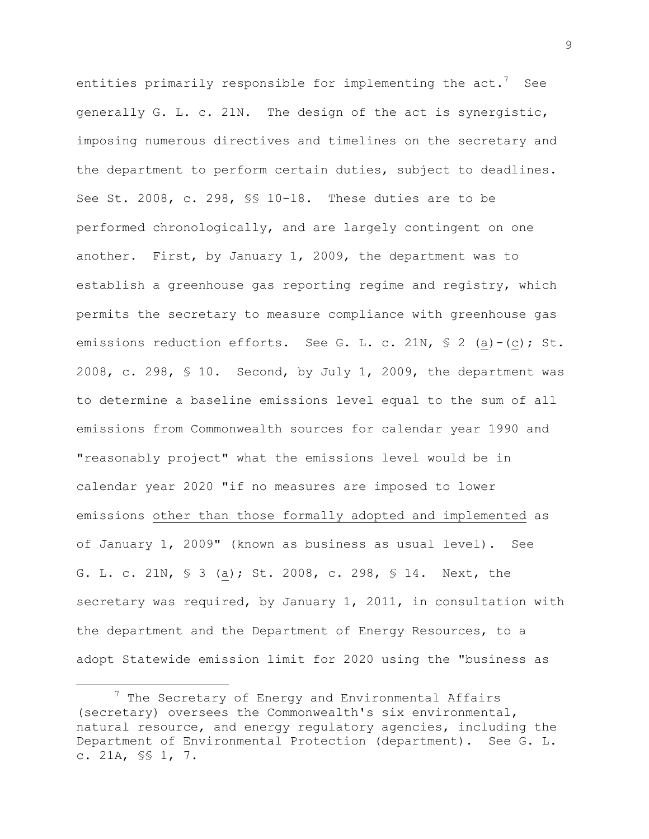entities primarily responsible for implementing the act. $^7$  See generally G. L. c. 21N. The design of the act is synergistic, imposing numerous directives and timelines on the secretary and the department to perform certain duties, subject to deadlines. See St. 2008, c. 298, §§ 10-18. These duties are to be performed chronologically, and are largely contingent on one another. First, by January 1, 2009, the department was to establish a greenhouse gas reporting regime and registry, which permits the secretary to measure compliance with greenhouse gas emissions reduction efforts. See G. L. c. 21N, § 2 (a)-(c); St. 2008, c. 298, § 10. Second, by July 1, 2009, the department was to determine a baseline emissions level equal to the sum of all emissions from Commonwealth sources for calendar year 1990 and "reasonably project" what the emissions level would be in calendar year 2020 "if no measures are imposed to lower emissions other than those formally adopted and implemented as of January 1, 2009" (known as business as usual level). See G. L. c. 21N, § 3 (a); St. 2008, c. 298, § 14. Next, the secretary was required, by January 1, 2011, in consultation with the department and the Department of Energy Resources, to a adopt Statewide emission limit for 2020 using the "business as

 $\overline{a}$ 

 $7$  The Secretary of Energy and Environmental Affairs (secretary) oversees the Commonwealth's six environmental, natural resource, and energy regulatory agencies, including the Department of Environmental Protection (department). See G. L. c. 21A, §§ 1, 7.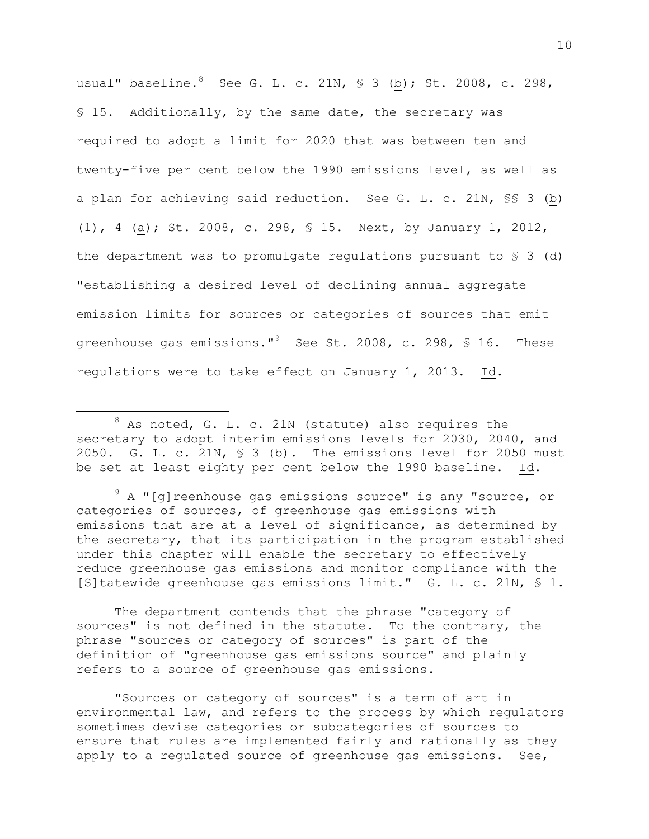usual" baseline*.* <sup>8</sup> See G. L. c. 21N, § 3 (b); St. 2008, c. 298, § 15. Additionally, by the same date, the secretary was required to adopt a limit for 2020 that was between ten and twenty-five per cent below the 1990 emissions level, as well as a plan for achieving said reduction. See G. L. c. 21N, §§ 3 (b) (1), 4 (a); St. 2008, c. 298, § 15. Next, by January 1, 2012, the department was to promulgate regulations pursuant to  $\S$  3 (d) "establishing a desired level of declining annual aggregate emission limits for sources or categories of sources that emit greenhouse gas emissions."<sup>9</sup> See St. 2008, c. 298, § 16. These regulations were to take effect on January 1, 2013. Id.

 $8$  As noted, G. L. c. 21N (statute) also requires the secretary to adopt interim emissions levels for 2030, 2040, and 2050. G. L. c. 21N, § 3 (b). The emissions level for 2050 must be set at least eighty per cent below the 1990 baseline. Id.

 $\overline{a}$ 

 $9$  A "[q]reenhouse gas emissions source" is any "source, or categories of sources, of greenhouse gas emissions with emissions that are at a level of significance, as determined by the secretary, that its participation in the program established under this chapter will enable the secretary to effectively reduce greenhouse gas emissions and monitor compliance with the [S]tatewide greenhouse gas emissions limit." G. L. c. 21N, § 1.

The department contends that the phrase "category of sources" is not defined in the statute. To the contrary, the phrase "sources or category of sources" is part of the definition of "greenhouse gas emissions source" and plainly refers to a source of greenhouse gas emissions.

"Sources or category of sources" is a term of art in environmental law, and refers to the process by which regulators sometimes devise categories or subcategories of sources to ensure that rules are implemented fairly and rationally as they apply to a regulated source of greenhouse gas emissions. See,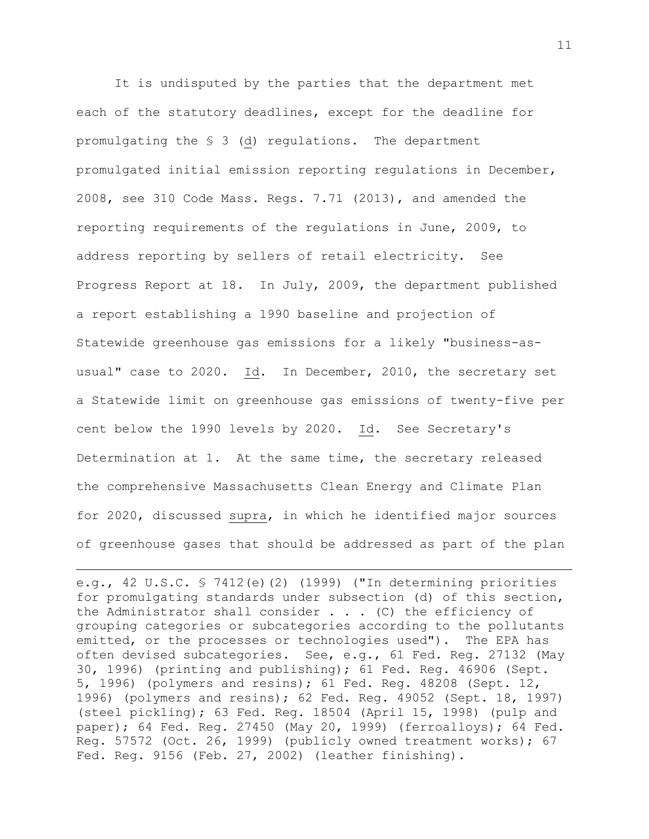It is undisputed by the parties that the department met each of the statutory deadlines, except for the deadline for promulgating the § 3 (d) regulations. The department promulgated initial emission reporting regulations in December, 2008, see 310 Code Mass. Regs. 7.71 (2013), and amended the reporting requirements of the regulations in June, 2009, to address reporting by sellers of retail electricity. See Progress Report at 18. In July, 2009, the department published a report establishing a 1990 baseline and projection of Statewide greenhouse gas emissions for a likely "business-asusual" case to 2020. Id. In December, 2010, the secretary set a Statewide limit on greenhouse gas emissions of twenty-five per cent below the 1990 levels by 2020. Id. See Secretary's Determination at 1. At the same time, the secretary released the comprehensive Massachusetts Clean Energy and Climate Plan for 2020, discussed supra, in which he identified major sources of greenhouse gases that should be addressed as part of the plan

e.g., 42 U.S.C. § 7412(e)(2) (1999) ("In determining priorities for promulgating standards under subsection (d) of this section, the Administrator shall consider  $\ldots$  (C) the efficiency of grouping categories or subcategories according to the pollutants emitted, or the processes or technologies used"). The EPA has often devised subcategories. See, e.g., 61 Fed. Reg. 27132 (May 30, 1996) (printing and publishing); 61 Fed. Reg. 46906 (Sept. 5, 1996) (polymers and resins); 61 Fed. Reg. 48208 (Sept. 12, 1996) (polymers and resins); 62 Fed. Reg. 49052 (Sept. 18, 1997) (steel pickling); 63 Fed. Reg. 18504 (April 15, 1998) (pulp and paper); 64 Fed. Reg. 27450 (May 20, 1999) (ferroalloys); 64 Fed. Reg. 57572 (Oct. 26, 1999) (publicly owned treatment works); 67 Fed. Reg. 9156 (Feb. 27, 2002) (leather finishing).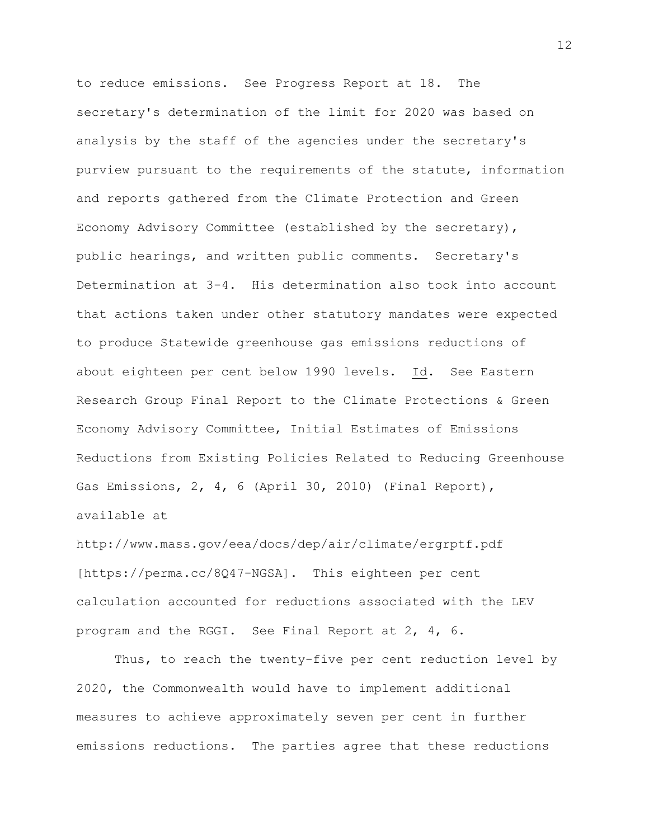to reduce emissions. See Progress Report at 18. The secretary's determination of the limit for 2020 was based on analysis by the staff of the agencies under the secretary's purview pursuant to the requirements of the statute, information and reports gathered from the Climate Protection and Green Economy Advisory Committee (established by the secretary), public hearings, and written public comments. Secretary's Determination at 3-4. His determination also took into account that actions taken under other statutory mandates were expected to produce Statewide greenhouse gas emissions reductions of about eighteen per cent below 1990 levels. Id. See Eastern Research Group Final Report to the Climate Protections & Green Economy Advisory Committee, Initial Estimates of Emissions Reductions from Existing Policies Related to Reducing Greenhouse Gas Emissions, 2, 4, 6 (April 30, 2010) (Final Report), available at

http://www.mass.gov/eea/docs/dep/air/climate/ergrptf.pdf [https://perma.cc/8Q47-NGSA]. This eighteen per cent calculation accounted for reductions associated with the LEV program and the RGGI. See Final Report at 2, 4, 6.

Thus, to reach the twenty-five per cent reduction level by 2020, the Commonwealth would have to implement additional measures to achieve approximately seven per cent in further emissions reductions. The parties agree that these reductions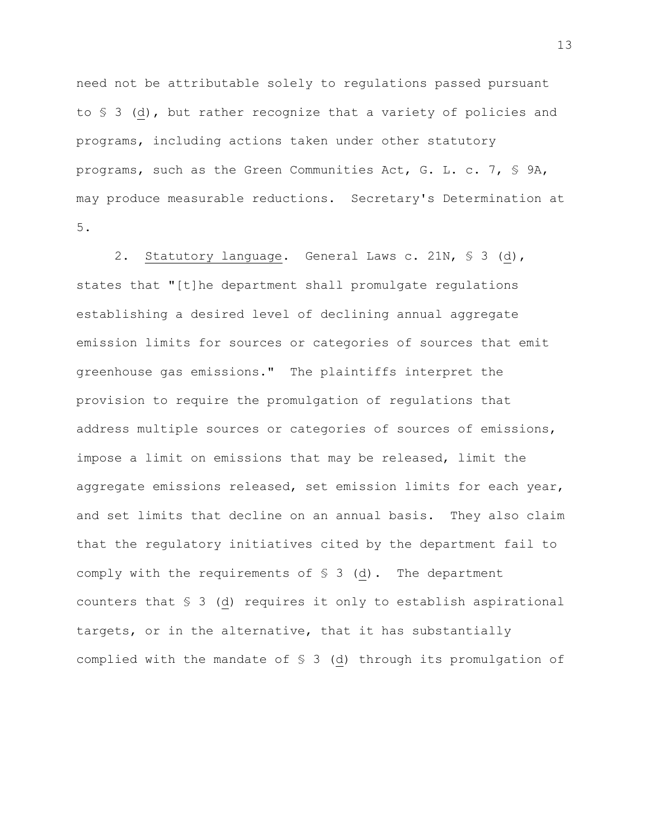need not be attributable solely to regulations passed pursuant to § 3 (d), but rather recognize that a variety of policies and programs, including actions taken under other statutory programs, such as the Green Communities Act, G. L. c. 7, § 9A, may produce measurable reductions. Secretary's Determination at 5.

2. Statutory language. General Laws c. 21N, § 3 (d), states that "[t]he department shall promulgate regulations establishing a desired level of declining annual aggregate emission limits for sources or categories of sources that emit greenhouse gas emissions." The plaintiffs interpret the provision to require the promulgation of regulations that address multiple sources or categories of sources of emissions, impose a limit on emissions that may be released, limit the aggregate emissions released, set emission limits for each year, and set limits that decline on an annual basis. They also claim that the regulatory initiatives cited by the department fail to comply with the requirements of § 3 (d). The department counters that § 3 (d) requires it only to establish aspirational targets, or in the alternative, that it has substantially complied with the mandate of § 3 (d) through its promulgation of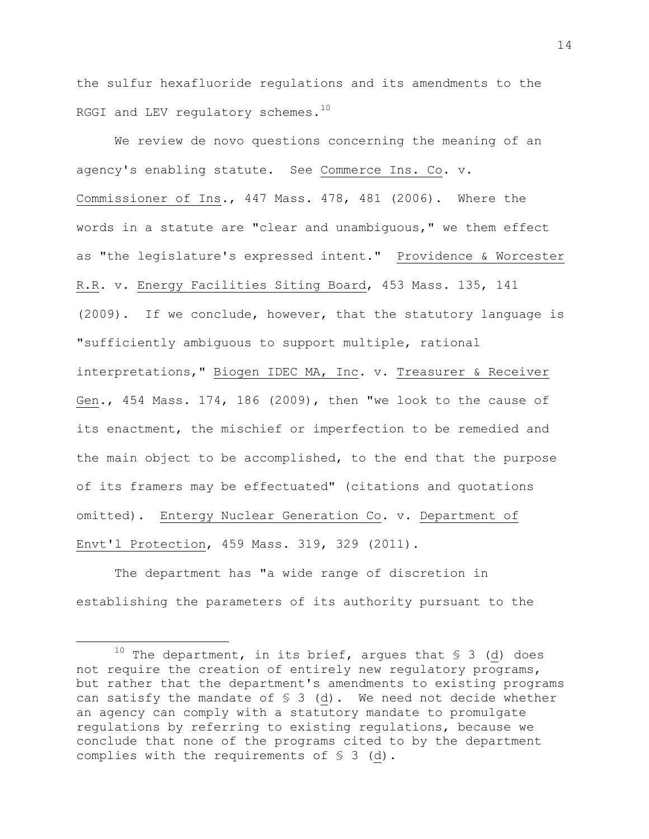the sulfur hexafluoride regulations and its amendments to the RGGI and LEV regulatory schemes. $^{10}$ 

We review de novo questions concerning the meaning of an agency's enabling statute. See Commerce Ins. Co. v. Commissioner of Ins., 447 Mass. 478, 481 (2006). Where the words in a statute are "clear and unambiguous," we them effect as "the legislature's expressed intent." Providence & Worcester R.R. v. Energy Facilities Siting Board, 453 Mass. 135, 141 (2009). If we conclude, however, that the statutory language is "sufficiently ambiguous to support multiple, rational interpretations," Biogen IDEC MA, Inc. v. Treasurer & Receiver Gen., 454 Mass. 174, 186 (2009), then "we look to the cause of its enactment, the mischief or imperfection to be remedied and the main object to be accomplished, to the end that the purpose of its framers may be effectuated" (citations and quotations omitted). Entergy Nuclear Generation Co. v. Department of Envt'l Protection, 459 Mass. 319, 329 (2011).

The department has "a wide range of discretion in establishing the parameters of its authority pursuant to the

l

<sup>&</sup>lt;sup>10</sup> The department, in its brief, argues that  $\sqrt{5}$  3 (d) does not require the creation of entirely new regulatory programs, but rather that the department's amendments to existing programs can satisfy the mandate of  $S = S$  (d). We need not decide whether an agency can comply with a statutory mandate to promulgate regulations by referring to existing regulations, because we conclude that none of the programs cited to by the department complies with the requirements of § 3 (d).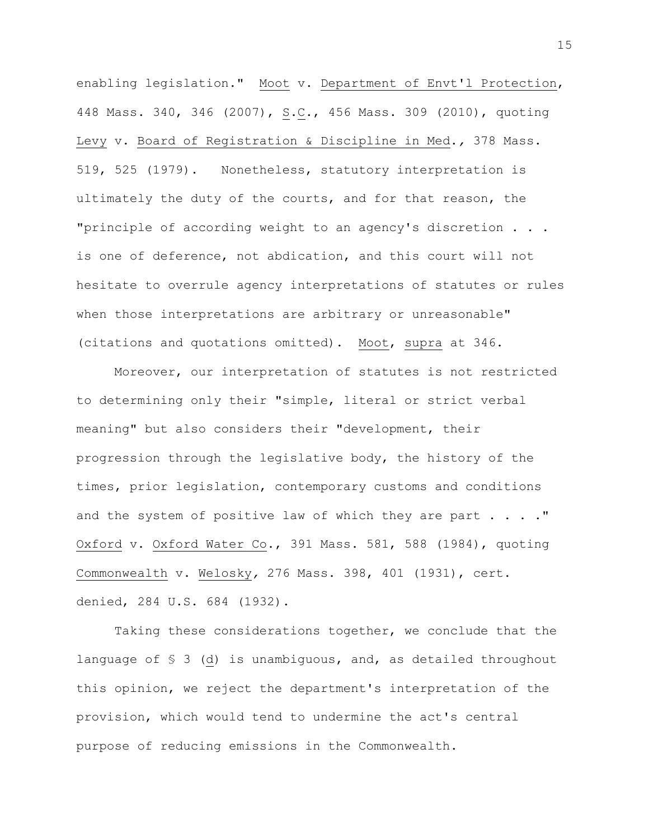enabling legislation." Moot v. Department of Envt'l Protection, 448 Mass. 340, 346 (2007), S.C., 456 Mass. 309 (2010), quoting Levy v. Board of Registration & Discipline in Med.*,* 378 Mass. 519, 525 (1979). Nonetheless, statutory interpretation is ultimately the duty of the courts, and for that reason, the "principle of according weight to an agency's discretion . . . is one of deference, not abdication, and this court will not hesitate to overrule agency interpretations of statutes or rules when those interpretations are arbitrary or unreasonable" (citations and quotations omitted). Moot, supra at 346.

Moreover, our interpretation of statutes is not restricted to determining only their "simple, literal or strict verbal meaning" but also considers their "development, their progression through the legislative body, the history of the times, prior legislation, contemporary customs and conditions and the system of positive law of which they are part  $\ldots$ ." Oxford v. Oxford Water Co., 391 Mass. 581, 588 (1984), quoting Commonwealth v. Welosky*,* 276 Mass. 398, 401 (1931), cert. denied, 284 U.S. 684 (1932).

Taking these considerations together, we conclude that the language of § 3 (d) is unambiguous, and, as detailed throughout this opinion, we reject the department's interpretation of the provision, which would tend to undermine the act's central purpose of reducing emissions in the Commonwealth.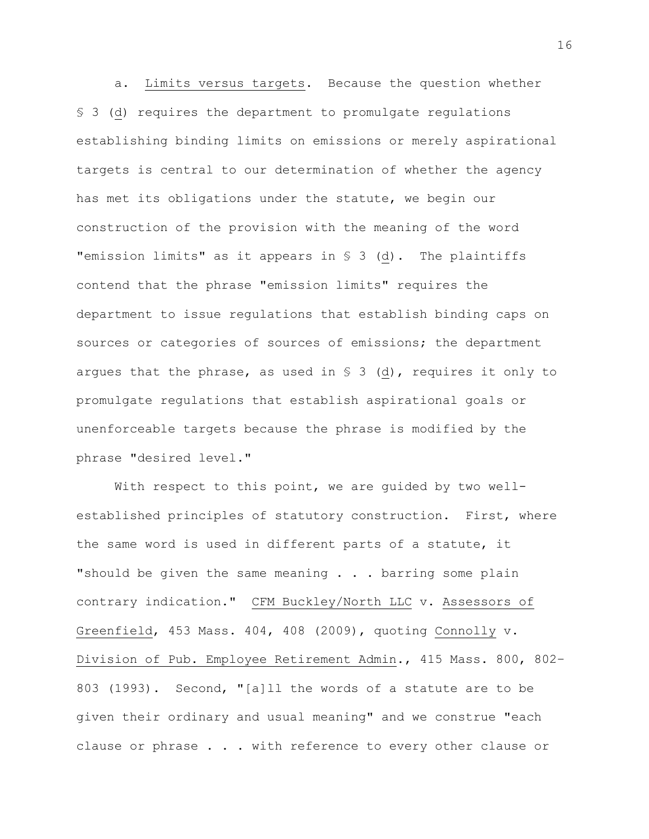a. Limits versus targets. Because the question whether § 3 (d) requires the department to promulgate regulations establishing binding limits on emissions or merely aspirational targets is central to our determination of whether the agency has met its obligations under the statute, we begin our construction of the provision with the meaning of the word "emission limits" as it appears in § 3 (d). The plaintiffs contend that the phrase "emission limits" requires the department to issue regulations that establish binding caps on sources or categories of sources of emissions; the department argues that the phrase, as used in  $S$  3 (d), requires it only to promulgate regulations that establish aspirational goals or unenforceable targets because the phrase is modified by the phrase "desired level."

With respect to this point, we are guided by two wellestablished principles of statutory construction. First, where the same word is used in different parts of a statute, it "should be given the same meaning . . . barring some plain contrary indication." CFM Buckley/North LLC v. Assessors of Greenfield, 453 Mass. 404, 408 (2009), quoting Connolly v. Division of Pub. Employee Retirement Admin., 415 Mass. 800, 802– 803 (1993). Second, "[a]ll the words of a statute are to be given their ordinary and usual meaning" and we construe "each clause or phrase . . . with reference to every other clause or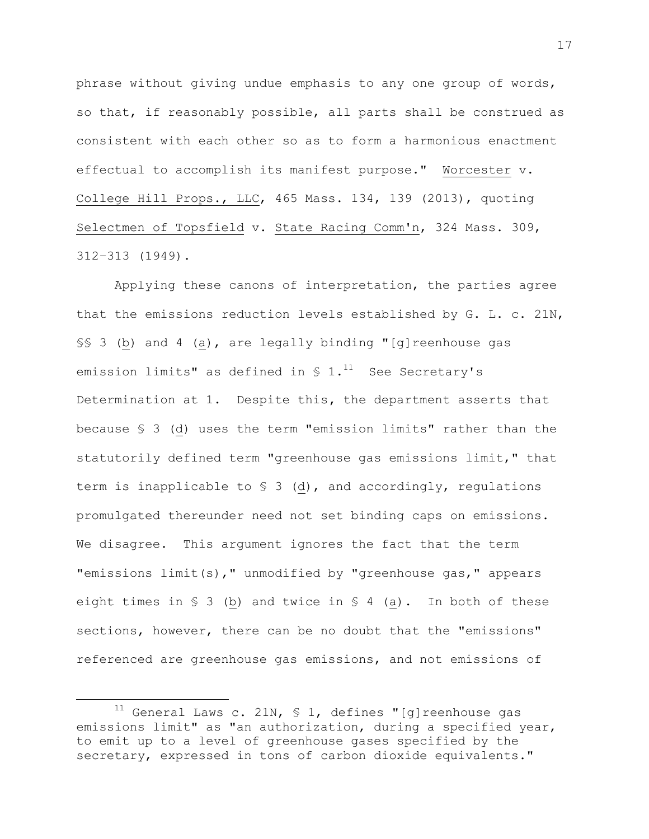phrase without giving undue emphasis to any one group of words, so that, if reasonably possible, all parts shall be construed as consistent with each other so as to form a harmonious enactment effectual to accomplish its manifest purpose." [Worcester](https://a.next.westlaw.com/Link/Document/FullText?findType=Y&serNum=2030530375&pubNum=0000578&originatingDoc=I026353ae77f311e5b86bd602cb8781fa&refType=RP&originationContext=document&transitionType=DocumentItem&contextData=(sc.Search)) v. College Hill Props., LLC, [465 Mass. 134, 139 \(2013\),](https://a.next.westlaw.com/Link/Document/FullText?findType=Y&serNum=2030530375&pubNum=0000578&originatingDoc=I026353ae77f311e5b86bd602cb8781fa&refType=RP&originationContext=document&transitionType=DocumentItem&contextData=(sc.Search)) quoting Selectmen of Topsfield [v. State Racing Comm'n,](https://a.next.westlaw.com/Link/Document/FullText?findType=Y&serNum=1949108556&pubNum=0000578&originatingDoc=I026353ae77f311e5b86bd602cb8781fa&refType=RP&originationContext=document&transitionType=DocumentItem&contextData=(sc.Search)) 324 Mass. 309, 312–[313 \(1949\).](https://a.next.westlaw.com/Link/Document/FullText?findType=Y&serNum=1949108556&pubNum=0000578&originatingDoc=I026353ae77f311e5b86bd602cb8781fa&refType=RP&originationContext=document&transitionType=DocumentItem&contextData=(sc.Search))

Applying these canons of interpretation, the parties agree that the emissions reduction levels established by G. L. c. 21N, §§ 3 (b) and 4 (a), are legally binding "[g]reenhouse gas emission limits" as defined in  $S$  1.<sup>11</sup> See Secretary's Determination at 1. Despite this**,** the department asserts that because § 3 (d) uses the term "emission limits" rather than the statutorily defined term "greenhouse gas emissions limit," that term is inapplicable to § 3 (d), and accordingly, regulations promulgated thereunder need not set binding caps on emissions. We disagree. This argument ignores the fact that the term "emissions limit(s)," unmodified by "greenhouse gas," appears eight times in  $S_3$  (b) and twice in  $S_4$  (a). In both of these sections, however, there can be no doubt that the "emissions" referenced are greenhouse gas emissions, and not emissions of

l

 $11$  General Laws c. 21N, § 1, defines "[g]reenhouse gas emissions limit" as "an authorization, during a specified year, to emit up to a level of greenhouse gases specified by the secretary, expressed in tons of carbon dioxide equivalents."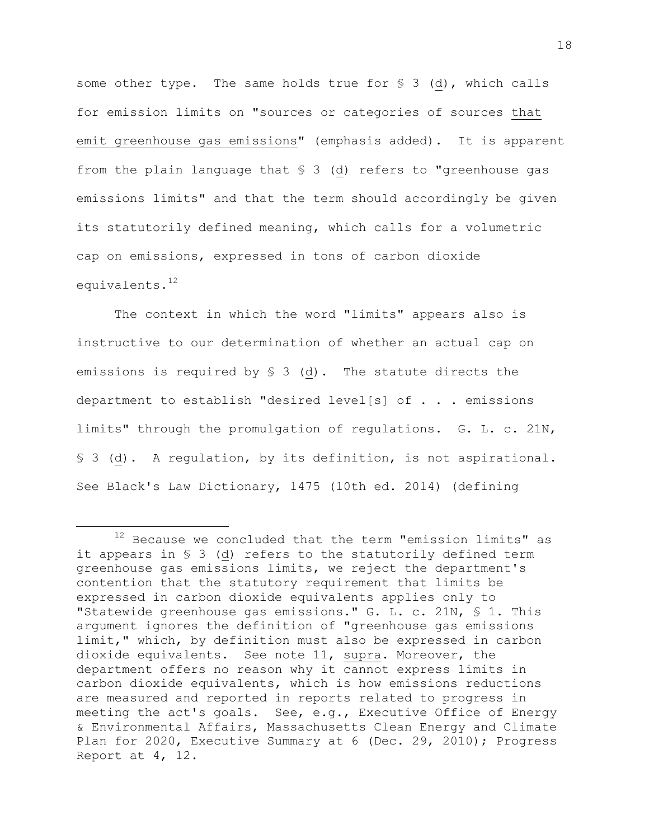some other type. The same holds true for § 3 (d), which calls for emission limits on "sources or categories of sources that emit greenhouse gas emissions" (emphasis added). It is apparent from the plain language that § 3 (d) refers to "greenhouse gas emissions limits" and that the term should accordingly be given its statutorily defined meaning, which calls for a volumetric cap on emissions, expressed in tons of carbon dioxide equivalents. 12

The context in which the word "limits" appears also is instructive to our determination of whether an actual cap on emissions is required by § 3 (d). The statute directs the department to establish "desired level[s] of . . . emissions limits" through the promulgation of regulations. G. L. c. 21N, § 3 (d). A regulation, by its definition, is not aspirational. See Black's Law Dictionary, 1475 (10th ed. 2014) (defining

l

<sup>12</sup> Because we concluded that the term "emission limits" as it appears in § 3 (d) refers to the statutorily defined term greenhouse gas emissions limits, we reject the department's contention that the statutory requirement that limits be expressed in carbon dioxide equivalents applies only to "Statewide greenhouse gas emissions." G. L. c. 21N, § 1. This argument ignores the definition of "greenhouse gas emissions limit," which, by definition must also be expressed in carbon dioxide equivalents. See note 11, supra. Moreover, the department offers no reason why it cannot express limits in carbon dioxide equivalents, which is how emissions reductions are measured and reported in reports related to progress in meeting the act's goals. See, e.g., Executive Office of Energy & Environmental Affairs, Massachusetts Clean Energy and Climate Plan for 2020, Executive Summary at 6 (Dec. 29, 2010); Progress Report at 4, 12.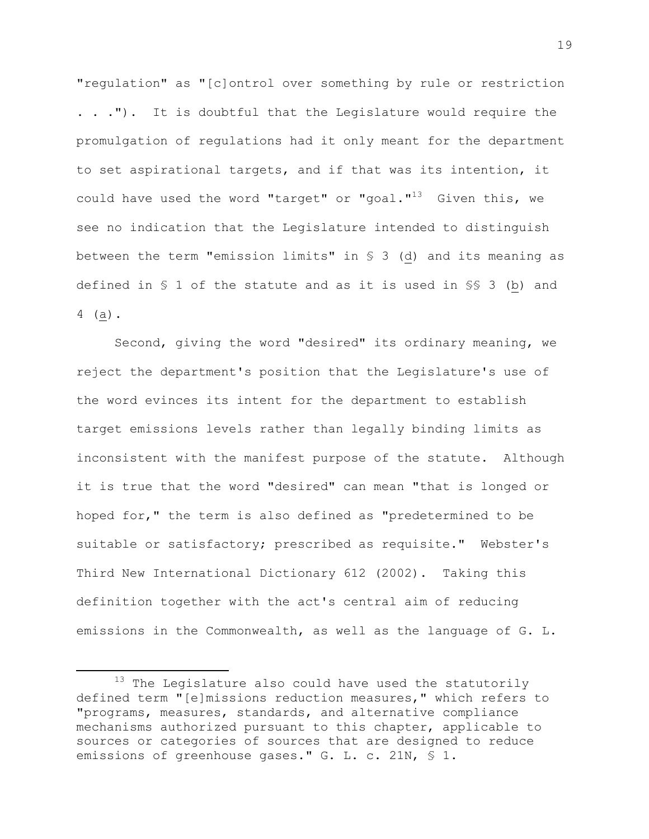"regulation" as "[c]ontrol over something by rule or restriction . . ."). It is doubtful that the Legislature would require the promulgation of regulations had it only meant for the department to set aspirational targets, and if that was its intention, it could have used the word "target" or "goal."<sup>13</sup> Given this, we see no indication that the Legislature intended to distinguish between the term "emission limits" in § 3 (d) and its meaning as defined in § 1 of the statute and as it is used in §§ 3 (b) and 4 (a).

Second, giving the word "desired" its ordinary meaning, we reject the department's position that the Legislature's use of the word evinces its intent for the department to establish target emissions levels rather than legally binding limits as inconsistent with the manifest purpose of the statute. Although it is true that the word "desired" can mean "that is longed or hoped for," the term is also defined as "predetermined to be suitable or satisfactory; prescribed as requisite." Webster's Third New International Dictionary 612 (2002). Taking this definition together with the act's central aim of reducing emissions in the Commonwealth, as well as the language of G. L.

 $^{13}$  The Legislature also could have used the statutorily defined term "[e]missions reduction measures," which refers to "programs, measures, standards, and alternative compliance mechanisms authorized pursuant to this chapter, applicable to sources or categories of sources that are designed to reduce emissions of greenhouse gases." G. L. c. 21N, § 1.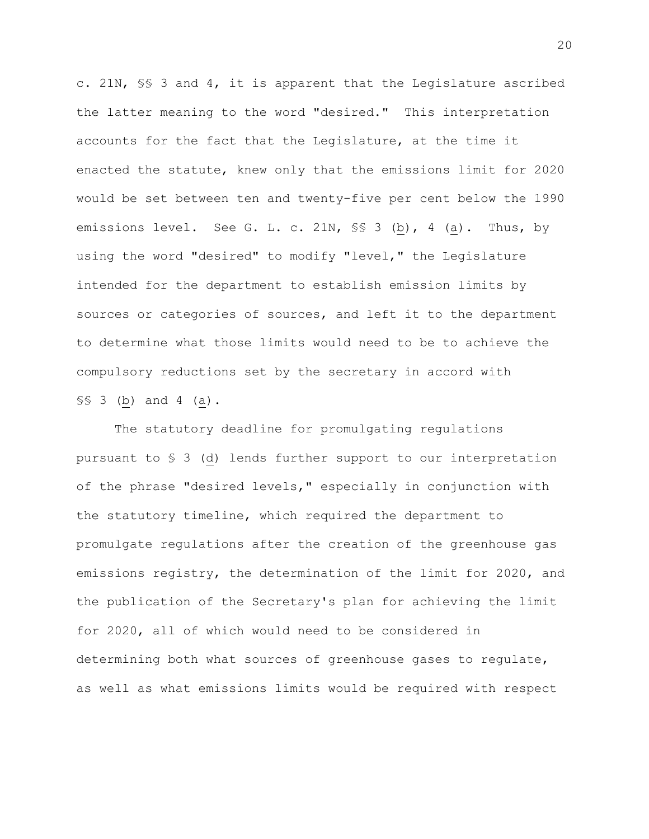c. 21N, §§ 3 and 4, it is apparent that the Legislature ascribed the latter meaning to the word "desired." This interpretation accounts for the fact that the Legislature, at the time it enacted the statute, knew only that the emissions limit for 2020 would be set between ten and twenty-five per cent below the 1990 emissions level. See G. L. c. 21N, SS 3 (b), 4 (a). Thus, by using the word "desired" to modify "level," the Legislature intended for the department to establish emission limits by sources or categories of sources, and left it to the department to determine what those limits would need to be to achieve the compulsory reductions set by the secretary in accord with §§ 3 (b) and 4 (a).

The statutory deadline for promulgating regulations pursuant to § 3 (d) lends further support to our interpretation of the phrase "desired levels," especially in conjunction with the statutory timeline, which required the department to promulgate regulations after the creation of the greenhouse gas emissions registry, the determination of the limit for 2020, and the publication of the Secretary's plan for achieving the limit for 2020, all of which would need to be considered in determining both what sources of greenhouse gases to regulate, as well as what emissions limits would be required with respect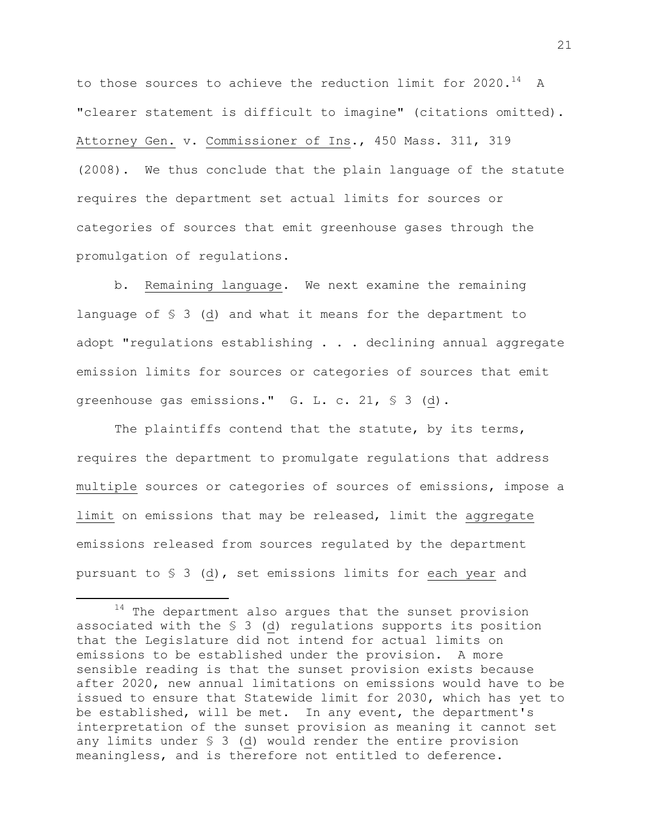to those sources to achieve the reduction limit for 2020.<sup>14</sup> A "clearer statement is difficult to imagine" (citations omitted). Attorney Gen. v. Commissioner of Ins., 450 Mass. 311, 319 (2008). We thus conclude that the plain language of the statute requires the department set actual limits for sources or categories of sources that emit greenhouse gases through the promulgation of regulations.

b. Remaining language. We next examine the remaining language of § 3 (d) and what it means for the department to adopt "regulations establishing . . . declining annual aggregate emission limits for sources or categories of sources that emit greenhouse gas emissions." G. L. c. 21, § 3 (d).

The plaintiffs contend that the statute, by its terms, requires the department to promulgate regulations that address multiple sources or categories of sources of emissions, impose a limit on emissions that may be released, limit the aggregate emissions released from sources regulated by the department pursuant to § 3 (d), set emissions limits for each year and

 $14$  The department also argues that the sunset provision associated with the § 3 (d) regulations supports its position that the Legislature did not intend for actual limits on emissions to be established under the provision. A more sensible reading is that the sunset provision exists because after 2020, new annual limitations on emissions would have to be issued to ensure that Statewide limit for 2030, which has yet to be established, will be met. In any event, the department's interpretation of the sunset provision as meaning it cannot set any limits under § 3 (d) would render the entire provision meaningless, and is therefore not entitled to deference.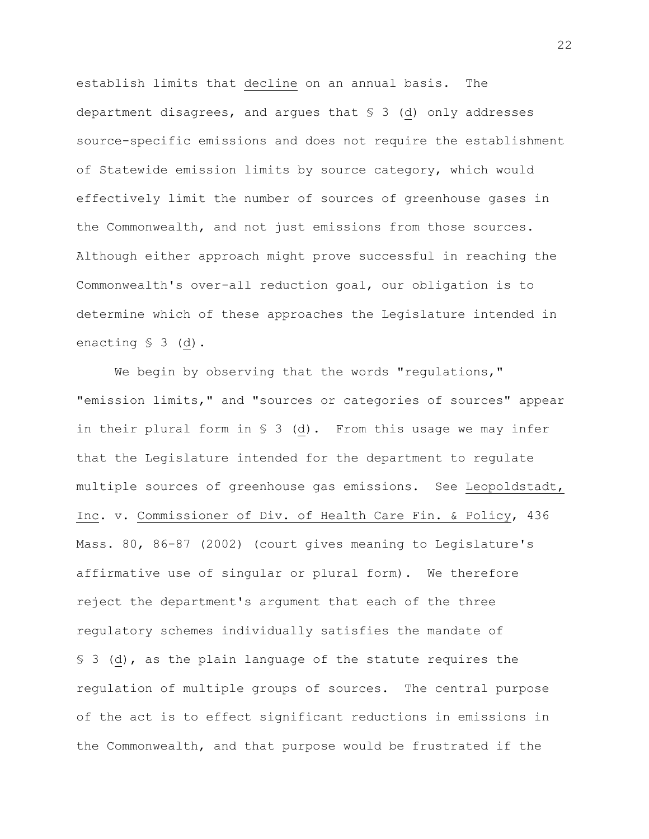establish limits that decline on an annual basis. The department disagrees, and argues that § 3 (d) only addresses source-specific emissions and does not require the establishment of Statewide emission limits by source category, which would effectively limit the number of sources of greenhouse gases in the Commonwealth, and not just emissions from those sources**.**  Although either approach might prove successful in reaching the Commonwealth's over-all reduction goal, our obligation is to determine which of these approaches the Legislature intended in enacting § 3 (d).

We begin by observing that the words "regulations," "emission limits," and "sources or categories of sources" appear in their plural form in § 3 (d). From this usage we may infer that the Legislature intended for the department to regulate multiple sources of greenhouse gas emissions. See Leopoldstadt, Inc. v. Commissioner of Div. of Health Care Fin. & Policy, 436 Mass. 80, 86-87 (2002) (court gives meaning to Legislature's affirmative use of singular or plural form). We therefore reject the department's argument that each of the three regulatory schemes individually satisfies the mandate of § 3 (d), as the plain language of the statute requires the regulation of multiple groups of sources. The central purpose of the act is to effect significant reductions in emissions in the Commonwealth, and that purpose would be frustrated if the

22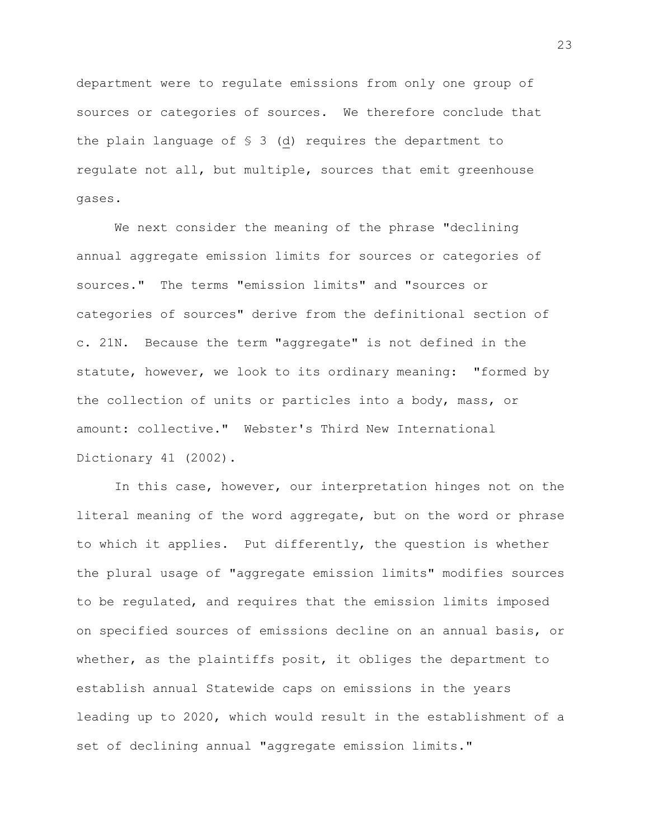department were to regulate emissions from only one group of sources or categories of sources. We therefore conclude that the plain language of § 3 (d) requires the department to regulate not all, but multiple, sources that emit greenhouse gases.

We next consider the meaning of the phrase "declining annual aggregate emission limits for sources or categories of sources." The terms "emission limits" and "sources or categories of sources" derive from the definitional section of c. 21N. Because the term "aggregate" is not defined in the statute, however, we look to its ordinary meaning: "formed by the collection of units or particles into a body, mass, or amount: collective." Webster's Third New International Dictionary 41 (2002).

In this case, however, our interpretation hinges not on the literal meaning of the word aggregate, but on the word or phrase to which it applies. Put differently, the question is whether the plural usage of "aggregate emission limits" modifies sources to be regulated, and requires that the emission limits imposed on specified sources of emissions decline on an annual basis, or whether, as the plaintiffs posit, it obliges the department to establish annual Statewide caps on emissions in the years leading up to 2020, which would result in the establishment of a set of declining annual "aggregate emission limits."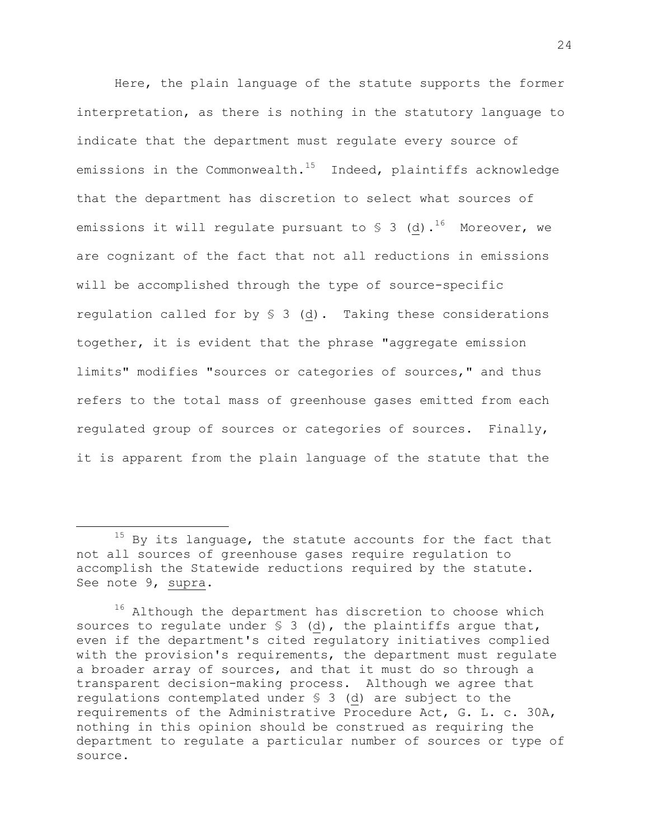Here, the plain language of the statute supports the former interpretation, as there is nothing in the statutory language to indicate that the department must regulate every source of emissions in the Commonwealth.<sup>15</sup> Indeed, plaintiffs acknowledge that the department has discretion to select what sources of emissions it will regulate pursuant to  $\delta$  3 (d).<sup>16</sup> Moreover, we are cognizant of the fact that not all reductions in emissions will be accomplished through the type of source-specific regulation called for by § 3 (d). Taking these considerations together, it is evident that the phrase "aggregate emission limits" modifies "sources or categories of sources," and thus refers to the total mass of greenhouse gases emitted from each regulated group of sources or categories of sources. Finally, it is apparent from the plain language of the statute that the

l

 $15$  By its language, the statute accounts for the fact that not all sources of greenhouse gases require regulation to accomplish the Statewide reductions required by the statute. See note 9, supra.

<sup>&</sup>lt;sup>16</sup> Although the department has discretion to choose which sources to regulate under  $S = S$  (d), the plaintiffs argue that, even if the department's cited regulatory initiatives complied with the provision's requirements, the department must regulate a broader array of sources, and that it must do so through a transparent decision-making process. Although we agree that regulations contemplated under § 3 (d) are subject to the requirements of the Administrative Procedure Act, G. L. c. 30A, nothing in this opinion should be construed as requiring the department to regulate a particular number of sources or type of source.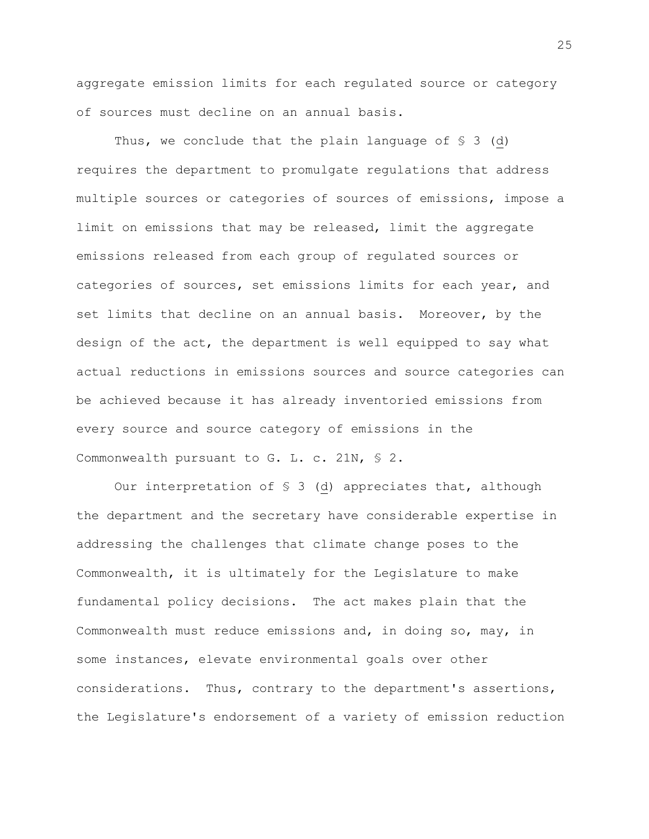aggregate emission limits for each regulated source or category of sources must decline on an annual basis.

Thus, we conclude that the plain language of  $\S$  3 (d) requires the department to promulgate regulations that address multiple sources or categories of sources of emissions, impose a limit on emissions that may be released, limit the aggregate emissions released from each group of regulated sources or categories of sources, set emissions limits for each year, and set limits that decline on an annual basis. Moreover, by the design of the act, the department is well equipped to say what actual reductions in emissions sources and source categories can be achieved because it has already inventoried emissions from every source and source category of emissions in the Commonwealth pursuant to G. L. c. 21N, § 2.

Our interpretation of § 3 (d) appreciates that, although the department and the secretary have considerable expertise in addressing the challenges that climate change poses to the Commonwealth, it is ultimately for the Legislature to make fundamental policy decisions. The act makes plain that the Commonwealth must reduce emissions and, in doing so, may, in some instances, elevate environmental goals over other considerations. Thus, contrary to the department's assertions, the Legislature's endorsement of a variety of emission reduction

25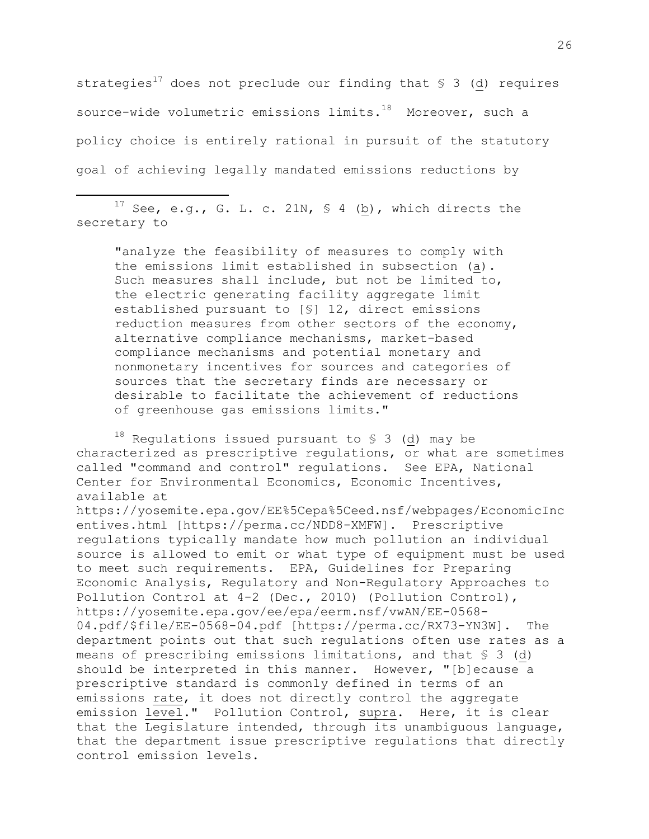strategies<sup>17</sup> does not preclude our finding that  $\S$  3 (d) requires source-wide volumetric emissions limits. <sup>18</sup> Moreover, such a policy choice is entirely rational in pursuit of the statutory goal of achieving legally mandated emissions reductions by

<sup>17</sup> See, e.g., G. L. c. 21N, § 4 ( $\underline{b}$ ), which directs the secretary to

l

"analyze the feasibility of measures to comply with the emissions limit established in subsection (a). Such measures shall include, but not be limited to, the electric generating facility aggregate limit established pursuant to [§] 12, direct emissions reduction measures from other sectors of the economy, alternative compliance mechanisms, market-based compliance mechanisms and potential monetary and nonmonetary incentives for sources and categories of sources that the secretary finds are necessary or desirable to facilitate the achievement of reductions of greenhouse gas emissions limits."

 $18$  Regulations issued pursuant to § 3 (d) may be characterized as prescriptive regulations, or what are sometimes called "command and control" regulations. See EPA, National Center for Environmental Economics, Economic Incentives, available at

https://yosemite.epa.gov/EE%5Cepa%5Ceed.nsf/webpages/EconomicInc entives.html [https://perma.cc/NDD8-XMFW]. Prescriptive regulations typically mandate how much pollution an individual source is allowed to emit or what type of equipment must be used to meet such requirements. EPA, Guidelines for Preparing Economic Analysis, Regulatory and Non-Regulatory Approaches to Pollution Control at 4-2 (Dec., 2010) (Pollution Control), https://yosemite.epa.gov/ee/epa/eerm.nsf/vwAN/EE-0568- 04.pdf/\$file/EE-0568-04.pdf [https://perma.cc/RX73-YN3W]. The department points out that such regulations often use rates as a means of prescribing emissions limitations, and that § 3 (d) should be interpreted in this manner. However, "[b]ecause a prescriptive standard is commonly defined in terms of an emissions rate, it does not directly control the aggregate emission level." Pollution Control, supra. Here, it is clear that the Legislature intended, through its unambiguous language, that the department issue prescriptive regulations that directly control emission levels.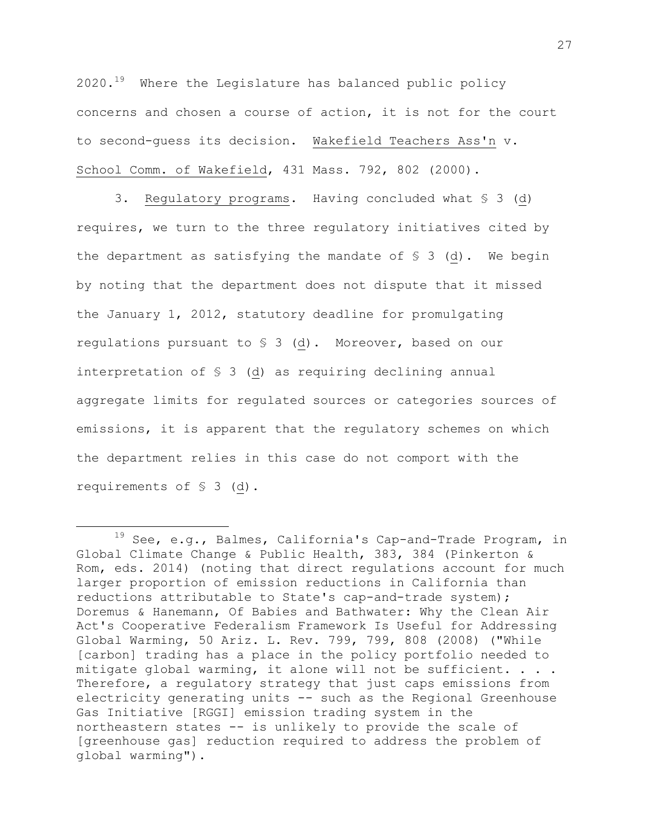$2020.^{19}$  Where the Legislature has balanced public policy concerns and chosen a course of action, it is not for the court to second-guess its decision. Wakefield Teachers Ass'n v. School Comm. of Wakefield, 431 Mass. 792, 802 (2000).

3. Regulatory programs. Having concluded what § 3 (d) requires, we turn to the three regulatory initiatives cited by the department as satisfying the mandate of  $S$  3 (d). We begin by noting that the department does not dispute that it missed the January 1, 2012, statutory deadline for promulgating regulations pursuant to § 3 (d). Moreover, based on our interpretation of § 3 (d) as requiring declining annual aggregate limits for regulated sources or categories sources of emissions, it is apparent that the regulatory schemes on which the department relies in this case do not comport with the requirements of § 3 (d).

l

<sup>19</sup> See, e.g., Balmes, California's Cap-and-Trade Program, in Global Climate Change & Public Health, 383, 384 (Pinkerton & Rom, eds. 2014) (noting that direct regulations account for much larger proportion of emission reductions in California than reductions attributable to State's cap-and-trade system); Doremus & Hanemann, Of Babies and Bathwater: Why the Clean Air Act's Cooperative Federalism Framework Is Useful for Addressing Global Warming, 50 Ariz. L. Rev. 799, 799, 808 (2008) ("While [carbon] trading has a place in the policy portfolio needed to mitigate global warming, it alone will not be sufficient. . . . Therefore, a regulatory strategy that just caps emissions from electricity generating units -- such as the Regional Greenhouse Gas Initiative [RGGI] emission trading system in the northeastern states -- is unlikely to provide the scale of [greenhouse gas] reduction required to address the problem of global warming").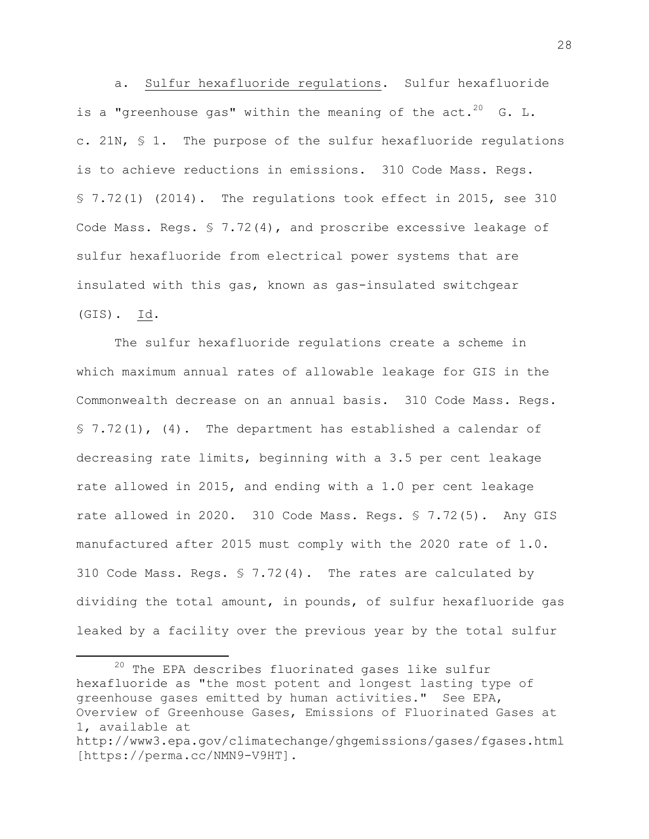a. Sulfur hexafluoride regulations. Sulfur hexafluoride is a "greenhouse gas" within the meaning of the act.<sup>20</sup> G. L. c. 21N, § 1. The purpose of the sulfur hexafluoride regulations is to achieve reductions in emissions. 310 Code Mass. Regs. § 7.72(1) (2014). The regulations took effect in 2015, see 310 Code Mass. Regs. § 7.72(4), and proscribe excessive leakage of sulfur hexafluoride from electrical power systems that are insulated with this gas, known as gas-insulated switchgear (GIS). Id.

The sulfur hexafluoride regulations create a scheme in which maximum annual rates of allowable leakage for GIS in the Commonwealth decrease on an annual basis. 310 Code Mass. Regs.  $$ 7.72(1)$ , (4). The department has established a calendar of decreasing rate limits, beginning with a 3.5 per cent leakage rate allowed in 2015, and ending with a 1.0 per cent leakage rate allowed in 2020. 310 Code Mass. Regs. § 7.72(5). Any GIS manufactured after 2015 must comply with the 2020 rate of 1.0. 310 Code Mass. Regs. § 7.72(4). The rates are calculated by dividing the total amount, in pounds, of sulfur hexafluoride gas leaked by a facility over the previous year by the total sulfur

 $20$  The EPA describes fluorinated gases like sulfur hexafluoride as "the most potent and longest lasting type of greenhouse gases emitted by human activities." See EPA, Overview of Greenhouse Gases, Emissions of Fluorinated Gases at 1, available at http://www3.epa.gov/climatechange/ghgemissions/gases/fgases.html [https://perma.cc/NMN9-V9HT].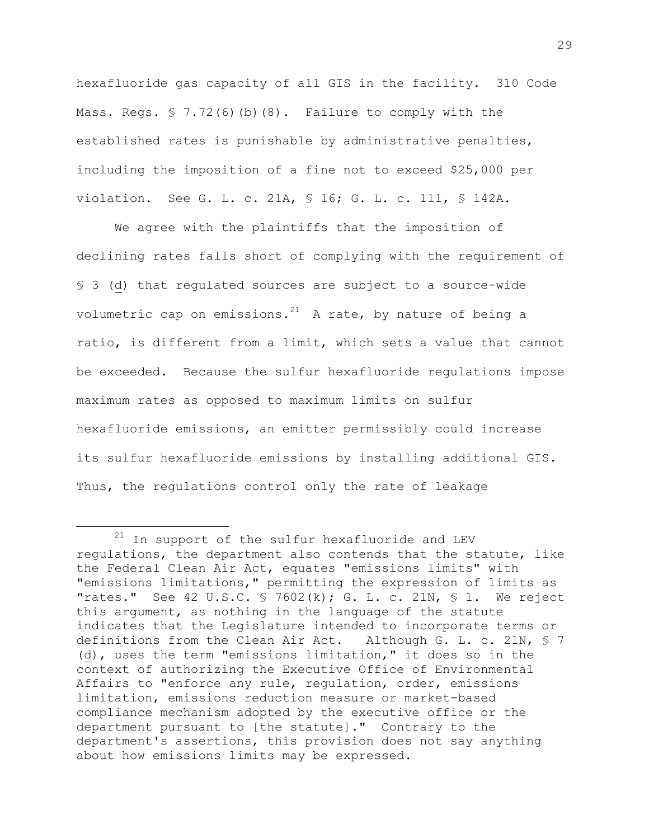hexafluoride gas capacity of all GIS in the facility. 310 Code Mass. Regs. § 7.72(6)(b)(8). Failure to comply with the established rates is punishable by administrative penalties, including the imposition of a fine not to exceed \$25,000 per violation. See G. L. c. 21A, § 16; G. L. c. 111, § 142A.

We agree with the plaintiffs that the imposition of declining rates falls short of complying with the requirement of § 3 (d) that regulated sources are subject to a source-wide volumetric cap on emissions.<sup>21</sup> A rate, by nature of being a ratio, is different from a limit, which sets a value that cannot be exceeded. Because the sulfur hexafluoride regulations impose maximum rates as opposed to maximum limits on sulfur hexafluoride emissions, an emitter permissibly could increase its sulfur hexafluoride emissions by installing additional GIS. Thus, the regulations control only the rate of leakage

l

 $21$  In support of the sulfur hexafluoride and LEV regulations, the department also contends that the statute, like the Federal Clean Air Act, equates "emissions limits" with "emissions limitations," permitting the expression of limits as "rates." See 42 U.S.C.  $\frac{1}{2}$  7602(k); G. L. c. 21N,  $\frac{1}{2}$  1. We reject this argument, as nothing in the language of the statute indicates that the Legislature intended to incorporate terms or definitions from the Clean Air Act. Although G. L. c. 21N, § 7 (d), uses the term "emissions limitation," it does so in the context of authorizing the Executive Office of Environmental Affairs to "enforce any rule, regulation, order, emissions limitation, emissions reduction measure or market-based compliance mechanism adopted by the executive office or the department pursuant to [the statute]." Contrary to the department's assertions, this provision does not say anything about how emissions limits may be expressed.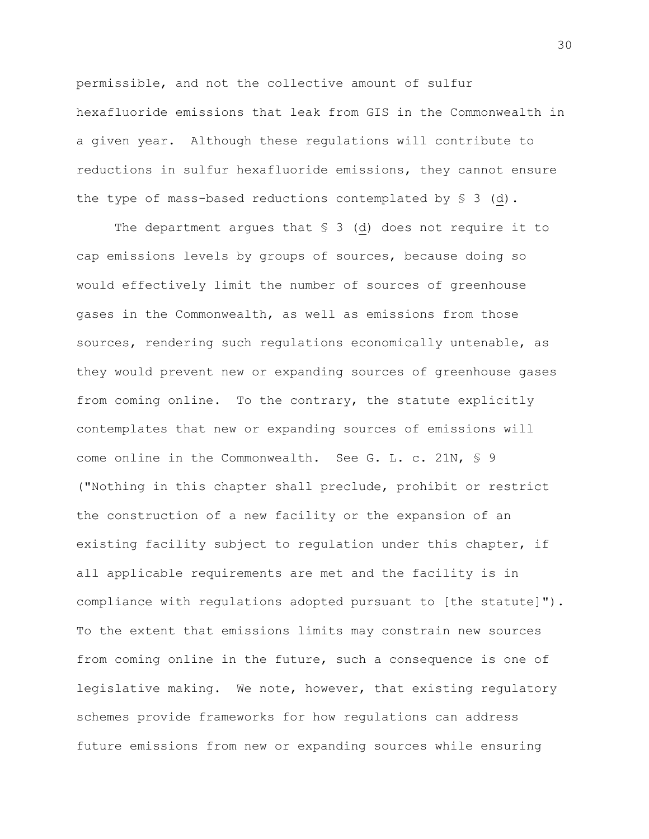permissible, and not the collective amount of sulfur hexafluoride emissions that leak from GIS in the Commonwealth in a given year. Although these regulations will contribute to reductions in sulfur hexafluoride emissions, they cannot ensure the type of mass-based reductions contemplated by § 3 (d).

The department argues that  $\S$  3 (d) does not require it to cap emissions levels by groups of sources, because doing so would effectively limit the number of sources of greenhouse gases in the Commonwealth, as well as emissions from those sources, rendering such regulations economically untenable, as they would prevent new or expanding sources of greenhouse gases from coming online. To the contrary, the statute explicitly contemplates that new or expanding sources of emissions will come online in the Commonwealth. See G. L. c. 21N, § 9 ("Nothing in this chapter shall preclude, prohibit or restrict the construction of a new facility or the expansion of an existing facility subject to regulation under this chapter, if all applicable requirements are met and the facility is in compliance with regulations adopted pursuant to [the statute]"). To the extent that emissions limits may constrain new sources from coming online in the future, such a consequence is one of legislative making. We note, however, that existing regulatory schemes provide frameworks for how regulations can address future emissions from new or expanding sources while ensuring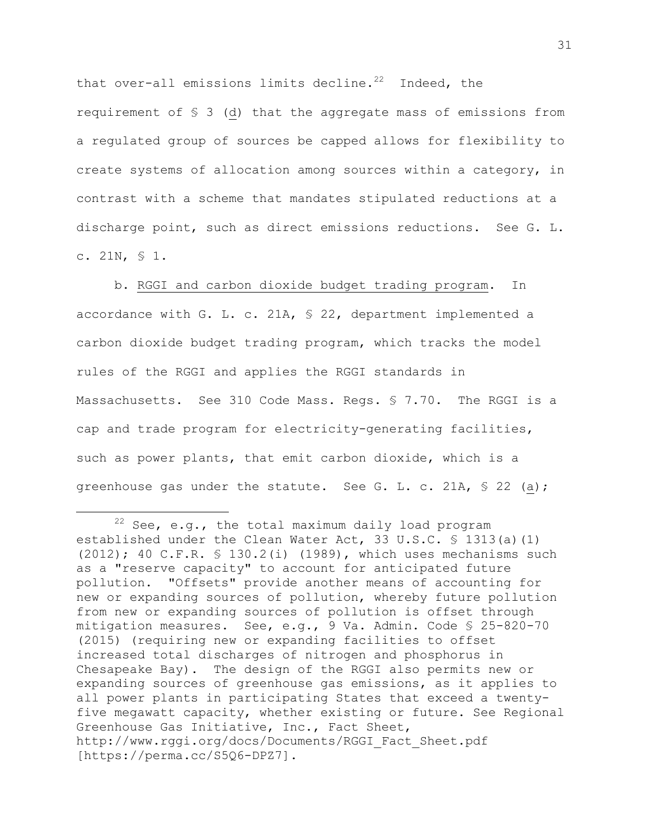that over-all emissions limits decline.<sup>22</sup> Indeed, the requirement of § 3 (d) that the aggregate mass of emissions from a regulated group of sources be capped allows for flexibility to create systems of allocation among sources within a category, in contrast with a scheme that mandates stipulated reductions at a discharge point, such as direct emissions reductions. See G. L. c. 21N, § 1.

b. RGGI and carbon dioxide budget trading program. In accordance with G. L. c. 21A, § 22, department implemented a carbon dioxide budget trading program, which tracks the model rules of the RGGI and applies the RGGI standards in Massachusetts. See 310 Code Mass. Regs. § 7.70. The RGGI is a cap and trade program for electricity-generating facilities, such as power plants, that emit carbon dioxide, which is a greenhouse gas under the statute. See G. L. c. 21A, § 22 (a);

 $22$  See, e.g., the total maximum daily load program established under the Clean Water Act, 33 U.S.C. § 1313(a)(1) (2012); 40 C.F.R. § 130.2(i) (1989), which uses mechanisms such as a "reserve capacity" to account for anticipated future pollution. "Offsets" provide another means of accounting for new or expanding sources of pollution, whereby future pollution from new or expanding sources of pollution is offset through mitigation measures. See, e.g., 9 Va. Admin. Code § 25-820-70 (2015) (requiring new or expanding facilities to offset increased total discharges of nitrogen and phosphorus in Chesapeake Bay). The design of the RGGI also permits new or expanding sources of greenhouse gas emissions, as it applies to all power plants in participating States that exceed a twentyfive megawatt capacity, whether existing or future. See Regional Greenhouse Gas Initiative, Inc., Fact Sheet, http://www.rggi.org/docs/Documents/RGGI\_Fact\_Sheet.pdf [https://perma.cc/S5Q6-DPZ7].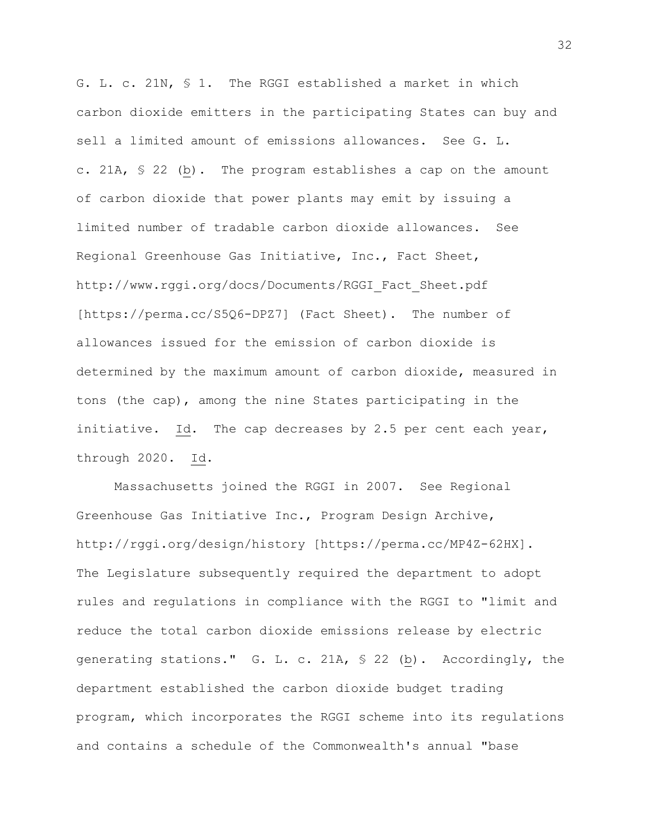G. L. c. 21N, § 1. The RGGI established a market in which carbon dioxide emitters in the participating States can buy and sell a limited amount of emissions allowances. See G. L. c. 21A, § 22 (b). The program establishes a cap on the amount of carbon dioxide that power plants may emit by issuing a limited number of tradable carbon dioxide allowances. See Regional Greenhouse Gas Initiative, Inc., Fact Sheet, http://www.rggi.org/docs/Documents/RGGI\_Fact\_Sheet.pdf [https://perma.cc/S5Q6-DPZ7] (Fact Sheet). The number of allowances issued for the emission of carbon dioxide is determined by the maximum amount of carbon dioxide, measured in tons (the cap), among the nine States participating in the initiative. Id. The cap decreases by 2.5 per cent each year, through 2020. Id.

Massachusetts joined the RGGI in 2007. See Regional Greenhouse Gas Initiative Inc., Program Design Archive, http://rggi.org/design/history [https://perma.cc/MP4Z-62HX]. The Legislature subsequently required the department to adopt rules and regulations in compliance with the RGGI to "limit and reduce the total carbon dioxide emissions release by electric generating stations." G. L. c. 21A, § 22 (b). Accordingly, the department established the carbon dioxide budget trading program, which incorporates the RGGI scheme into its regulations and contains a schedule of the Commonwealth's annual "base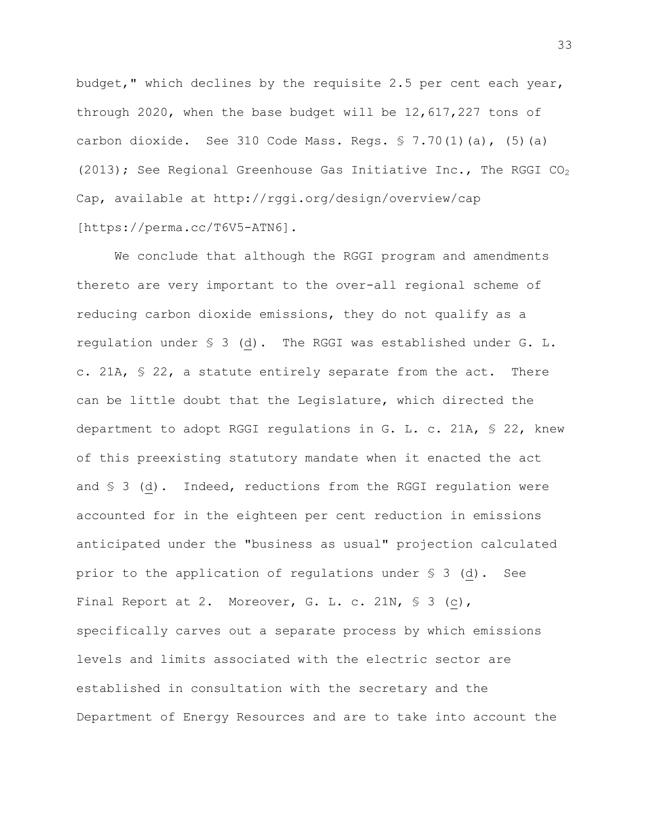budget," which declines by the requisite 2.5 per cent each year, through 2020, when the base budget will be 12,617,227 tons of carbon dioxide. See 310 Code Mass. Regs. § 7.70(1)(a), (5)(a) (2013); See Regional Greenhouse Gas Initiative Inc., The RGGI  $CO<sub>2</sub>$ Cap, available at http://rggi.org/design/overview/cap [https://perma.cc/T6V5-ATN6].

We conclude that although the RGGI program and amendments thereto are very important to the over-all regional scheme of reducing carbon dioxide emissions, they do not qualify as a regulation under § 3 (d). The RGGI was established under G. L. c. 21A, § 22, a statute entirely separate from the act. There can be little doubt that the Legislature, which directed the department to adopt RGGI regulations in G. L. c. 21A, § 22, knew of this preexisting statutory mandate when it enacted the act and § 3 (d). Indeed, reductions from the RGGI regulation were accounted for in the eighteen per cent reduction in emissions anticipated under the "business as usual" projection calculated prior to the application of regulations under § 3 (d). See Final Report at 2. Moreover, G. L. c. 21N, § 3 (c), specifically carves out a separate process by which emissions levels and limits associated with the electric sector are established in consultation with the secretary and the Department of Energy Resources and are to take into account the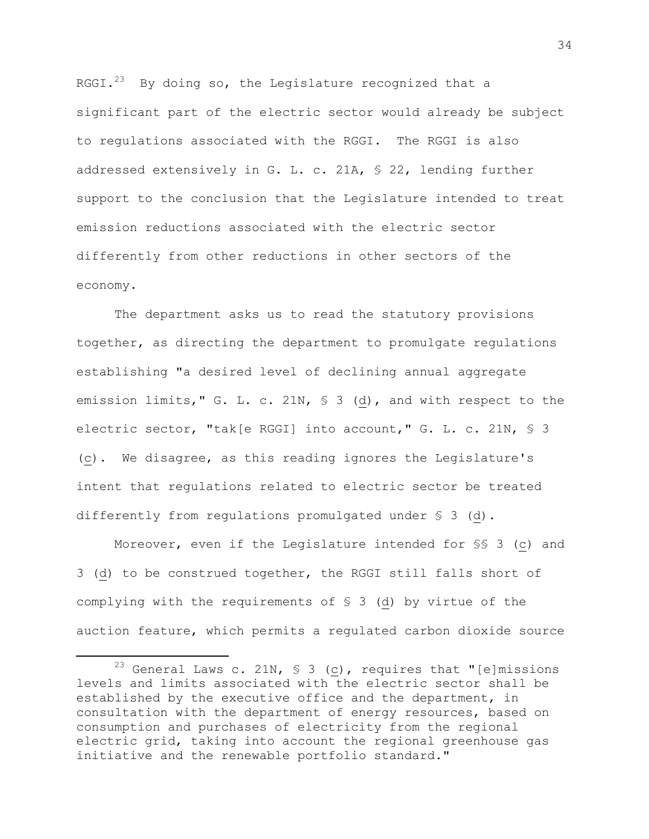RGGI. $^{23}$  By doing so, the Legislature recognized that a significant part of the electric sector would already be subject to regulations associated with the RGGI. The RGGI is also addressed extensively in G. L. c. 21A, § 22, lending further support to the conclusion that the Legislature intended to treat emission reductions associated with the electric sector differently from other reductions in other sectors of the economy.

The department asks us to read the statutory provisions together, as directing the department to promulgate regulations establishing "a desired level of declining annual aggregate emission limits," G. L. c. 21N, § 3 (d), and with respect to the electric sector, "tak[e RGGI] into account," G. L. c. 21N, § 3 (c). We disagree, as this reading ignores the Legislature's intent that regulations related to electric sector be treated differently from regulations promulgated under § 3 (d).

Moreover, even if the Legislature intended for §§ 3 (c) and 3 (d) to be construed together, the RGGI still falls short of complying with the requirements of § 3 (d) by virtue of the auction feature, which permits a regulated carbon dioxide source

<sup>&</sup>lt;sup>23</sup> General Laws c. 21N, § 3 ( $\underline{c}$ ), requires that "[e]missions levels and limits associated with the electric sector shall be established by the executive office and the department, in consultation with the department of energy resources, based on consumption and purchases of electricity from the regional electric grid, taking into account the regional greenhouse gas initiative and the renewable portfolio standard."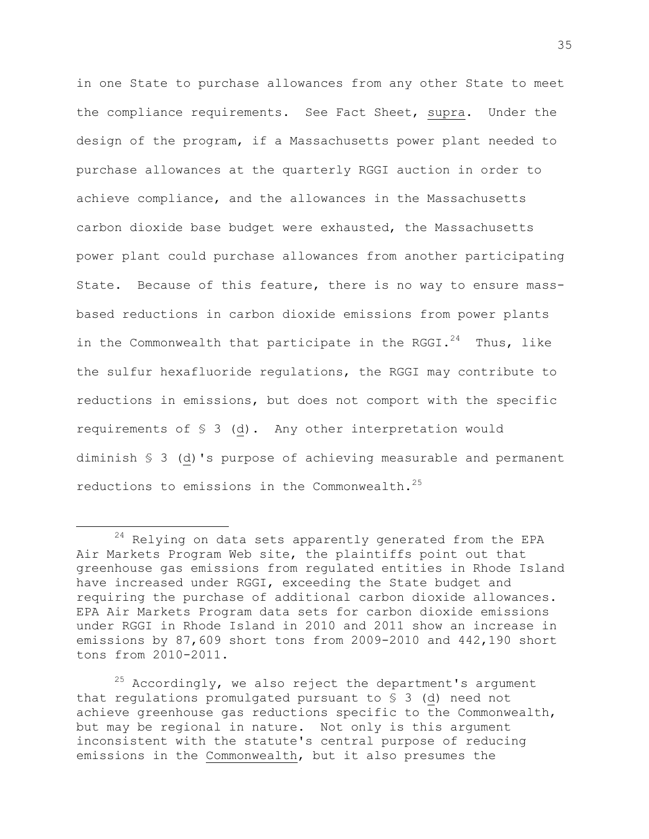in one State to purchase allowances from any other State to meet the compliance requirements. See Fact Sheet, supra. Under the design of the program, if a Massachusetts power plant needed to purchase allowances at the quarterly RGGI auction in order to achieve compliance, and the allowances in the Massachusetts carbon dioxide base budget were exhausted, the Massachusetts power plant could purchase allowances from another participating State. Because of this feature, there is no way to ensure massbased reductions in carbon dioxide emissions from power plants in the Commonwealth that participate in the RGGI. $^{24}$  Thus, like the sulfur hexafluoride regulations, the RGGI may contribute to reductions in emissions, but does not comport with the specific requirements of § 3 (d). Any other interpretation would diminish § 3 (d)'s purpose of achieving measurable and permanent reductions to emissions in the Commonwealth.<sup>25</sup>

l

 $24$  Relying on data sets apparently generated from the EPA Air Markets Program Web site, the plaintiffs point out that greenhouse gas emissions from regulated entities in Rhode Island have increased under RGGI, exceeding the State budget and requiring the purchase of additional carbon dioxide allowances. EPA Air Markets Program data sets for carbon dioxide emissions under RGGI in Rhode Island in 2010 and 2011 show an increase in emissions by 87,609 short tons from 2009-2010 and 442,190 short tons from 2010-2011.

 $25$  Accordingly, we also reject the department's argument that regulations promulgated pursuant to § 3 (d) need not achieve greenhouse gas reductions specific to the Commonwealth, but may be regional in nature. Not only is this argument inconsistent with the statute's central purpose of reducing emissions in the Commonwealth, but it also presumes the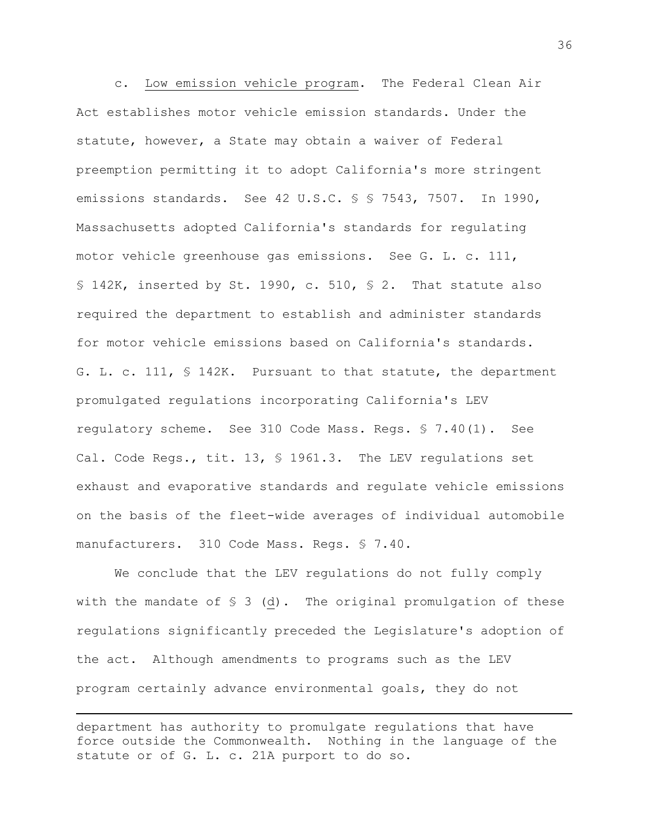c. Low emission vehicle program. The Federal Clean Air Act establishes motor vehicle emission standards. Under the statute, however, a State may obtain a waiver of Federal preemption permitting it to adopt California's more stringent emissions standards. See 42 U.S.C. § § 7543, 7507. In 1990, Massachusetts adopted California's standards for regulating motor vehicle greenhouse gas emissions. See G. L. c. 111, § 142K, inserted by St. 1990, c. 510, § 2. That statute also required the department to establish and administer standards for motor vehicle emissions based on California's standards. G. L. c. 111, § 142K. Pursuant to that statute, the department promulgated regulations incorporating California's LEV regulatory scheme. See 310 Code Mass. Regs. § 7.40(1). See Cal. Code Regs., tit. 13, § 1961.3. The LEV regulations set exhaust and evaporative standards and regulate vehicle emissions on the basis of the fleet-wide averages of individual automobile manufacturers. 310 Code Mass. Regs. § 7.40.

We conclude that the LEV regulations do not fully comply with the mandate of  $S_3$  (d). The original promulgation of these regulations significantly preceded the Legislature's adoption of the act. Although amendments to programs such as the LEV program certainly advance environmental goals, they do not

department has authority to promulgate regulations that have force outside the Commonwealth. Nothing in the language of the statute or of G. L. c. 21A purport to do so.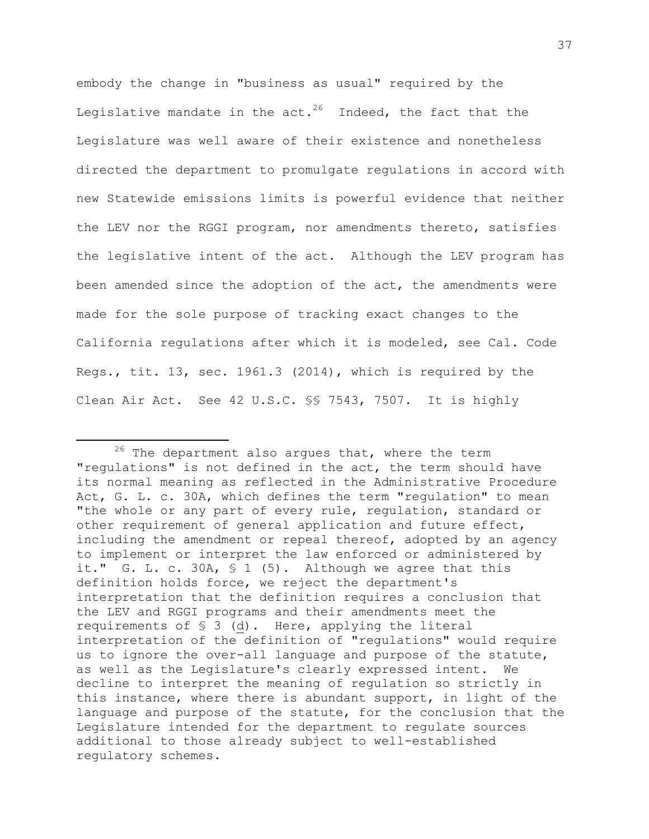embody the change in "business as usual" required by the Legislative mandate in the act. $^{26}$  Indeed, the fact that the Legislature was well aware of their existence and nonetheless directed the department to promulgate regulations in accord with new Statewide emissions limits is powerful evidence that neither the LEV nor the RGGI program, nor amendments thereto, satisfies the legislative intent of the act. Although the LEV program has been amended since the adoption of the act, the amendments were made for the sole purpose of tracking exact changes to the California regulations after which it is modeled, see Cal. Code Regs., tit. 13, sec. 1961.3 (2014), which is required by the Clean Air Act. See 42 U.S.C. §§ 7543, 7507. It is highly

 $26$  The department also argues that, where the term "regulations" is not defined in the act, the term should have its normal meaning as reflected in the Administrative Procedure Act, G. L. c. 30A, which defines the term "regulation" to mean "the whole or any part of every rule, regulation, standard or other requirement of general application and future effect, including the amendment or repeal thereof, adopted by an agency to implement or interpret the law enforced or administered by it." G. L. c. 30A, § 1 (5). Although we agree that this definition holds force, we reject the department's interpretation that the definition requires a conclusion that the LEV and RGGI programs and their amendments meet the requirements of § 3 (d). Here, applying the literal interpretation of the definition of "regulations" would require us to ignore the over-all language and purpose of the statute, as well as the Legislature's clearly expressed intent. We decline to interpret the meaning of regulation so strictly in this instance, where there is abundant support, in light of the language and purpose of the statute, for the conclusion that the Legislature intended for the department to regulate sources additional to those already subject to well-established regulatory schemes.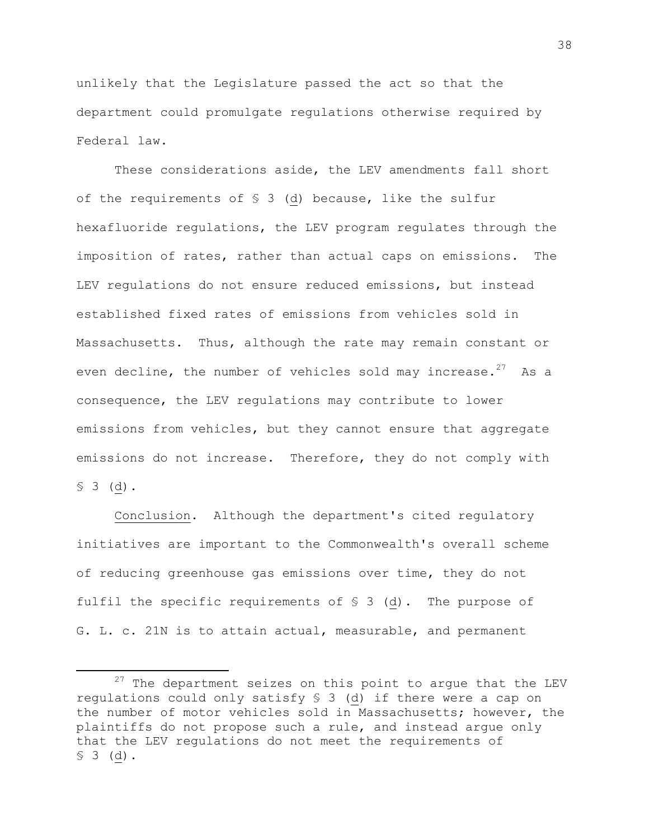unlikely that the Legislature passed the act so that the department could promulgate regulations otherwise required by Federal law.

These considerations aside, the LEV amendments fall short of the requirements of § 3 (d) because, like the sulfur hexafluoride regulations, the LEV program regulates through the imposition of rates, rather than actual caps on emissions. The LEV regulations do not ensure reduced emissions, but instead established fixed rates of emissions from vehicles sold in Massachusetts. Thus, although the rate may remain constant or even decline, the number of vehicles sold may increase. $27$  As a consequence, the LEV regulations may contribute to lower emissions from vehicles, but they cannot ensure that aggregate emissions do not increase. Therefore, they do not comply with  $$3$  (d).

Conclusion. Although the department's cited regulatory initiatives are important to the Commonwealth's overall scheme of reducing greenhouse gas emissions over time, they do not fulfil the specific requirements of § 3 (d). The purpose of G. L. c. 21N is to attain actual, measurable, and permanent

 $27$  The department seizes on this point to argue that the LEV regulations could only satisfy § 3 (d) if there were a cap on the number of motor vehicles sold in Massachusetts; however, the plaintiffs do not propose such a rule, and instead argue only that the LEV regulations do not meet the requirements of  $$3$  (d).